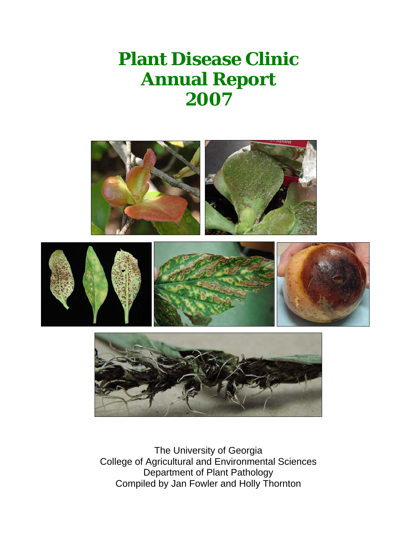# **Plant Disease Clinic Annual Report 2007**



The University of Georgia College of Agricultural and Environmental Sciences Department of Plant Pathology Compiled by Jan Fowler and Holly Thornton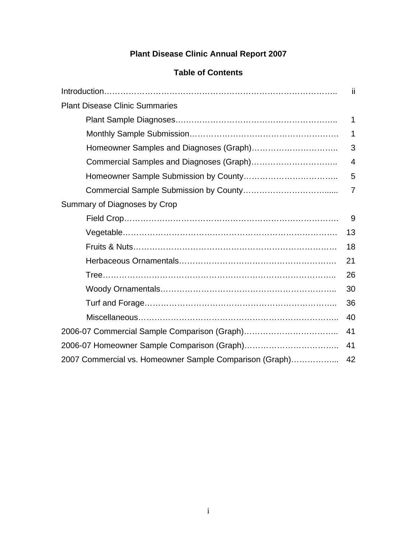### **Plant Disease Clinic Annual Report 2007**

| <b>Table of Contents</b> |  |
|--------------------------|--|
|--------------------------|--|

|                                                         | ii             |
|---------------------------------------------------------|----------------|
| <b>Plant Disease Clinic Summaries</b>                   |                |
|                                                         | 1              |
|                                                         | $\mathbf 1$    |
|                                                         | 3              |
|                                                         | $\overline{4}$ |
|                                                         | 5              |
|                                                         | $\overline{7}$ |
| Summary of Diagnoses by Crop                            |                |
|                                                         | 9              |
|                                                         | 13             |
|                                                         | 18             |
|                                                         | 21             |
|                                                         | 26             |
|                                                         | 30             |
|                                                         | 36             |
|                                                         | 40             |
|                                                         | 41             |
|                                                         | 41             |
| 2007 Commercial vs. Homeowner Sample Comparison (Graph) | 42             |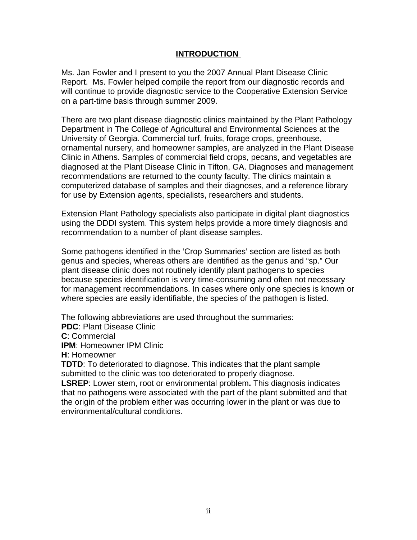#### **INTRODUCTION**

Ms. Jan Fowler and I present to you the 2007 Annual Plant Disease Clinic Report. Ms. Fowler helped compile the report from our diagnostic records and will continue to provide diagnostic service to the Cooperative Extension Service on a part-time basis through summer 2009.

There are two plant disease diagnostic clinics maintained by the Plant Pathology Department in The College of Agricultural and Environmental Sciences at the University of Georgia. Commercial turf, fruits, forage crops, greenhouse, ornamental nursery, and homeowner samples, are analyzed in the Plant Disease Clinic in Athens. Samples of commercial field crops, pecans, and vegetables are diagnosed at the Plant Disease Clinic in Tifton, GA. Diagnoses and management recommendations are returned to the county faculty. The clinics maintain a computerized database of samples and their diagnoses, and a reference library for use by Extension agents, specialists, researchers and students.

Extension Plant Pathology specialists also participate in digital plant diagnostics using the DDDI system. This system helps provide a more timely diagnosis and recommendation to a number of plant disease samples.

Some pathogens identified in the 'Crop Summaries' section are listed as both genus and species, whereas others are identified as the genus and "sp." Our plant disease clinic does not routinely identify plant pathogens to species because species identification is very time-consuming and often not necessary for management recommendations. In cases where only one species is known or where species are easily identifiable, the species of the pathogen is listed.

The following abbreviations are used throughout the summaries:

**PDC**: Plant Disease Clinic

**C**: Commercial

**IPM**: Homeowner IPM Clinic

**H**: Homeowner

**TDTD**: To deteriorated to diagnose. This indicates that the plant sample submitted to the clinic was too deteriorated to properly diagnose.

**LSREP**: Lower stem, root or environmental problem**.** This diagnosis indicates that no pathogens were associated with the part of the plant submitted and that the origin of the problem either was occurring lower in the plant or was due to environmental/cultural conditions.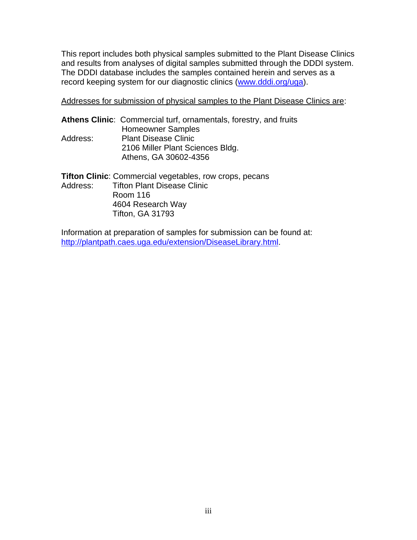This report includes both physical samples submitted to the Plant Disease Clinics and results from analyses of digital samples submitted through the DDDI system. The DDDI database includes the samples contained herein and serves as a record keeping system for our diagnostic clinics [\(www.dddi.org/uga](http://www.dddi.org/uga)).

Addresses for submission of physical samples to the Plant Disease Clinics are:

|          | Athens Clinic: Commercial turf, ornamentals, forestry, and fruits |
|----------|-------------------------------------------------------------------|
|          | <b>Homeowner Samples</b>                                          |
| Address: | <b>Plant Disease Clinic</b>                                       |
|          | 2106 Miller Plant Sciences Bldg.                                  |
|          | Athens, GA 30602-4356                                             |
|          |                                                                   |

| <b>Tifton Clinic:</b> Commercial vegetables, row crops, pecans |
|----------------------------------------------------------------|
| Address: Tifton Plant Disease Clinic                           |
| Room 116                                                       |
| 4604 Research Way                                              |
| <b>Tifton, GA 31793</b>                                        |

Information at preparation of samples for submission can be found at: [http://plantpath.caes.uga.edu/extension/DiseaseLibrary.html.](http://plantpath.caes.uga.edu/extension/DiseaseLibrary.html)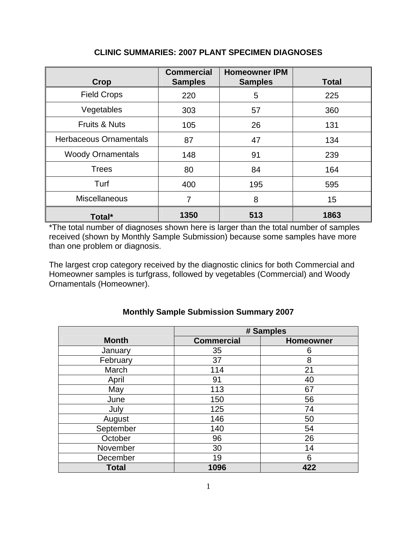| <b>Crop</b>                   | <b>Commercial</b><br><b>Samples</b> | <b>Homeowner IPM</b><br><b>Samples</b> | <b>Total</b> |
|-------------------------------|-------------------------------------|----------------------------------------|--------------|
| <b>Field Crops</b>            | 220                                 | 5                                      | 225          |
| Vegetables                    | 303                                 | 57                                     | 360          |
| <b>Fruits &amp; Nuts</b>      | 105                                 | 26                                     | 131          |
| <b>Herbaceous Ornamentals</b> | 87                                  | 47                                     | 134          |
| <b>Woody Ornamentals</b>      | 148                                 | 91                                     | 239          |
| <b>Trees</b>                  | 80                                  | 84                                     | 164          |
| Turf                          | 400                                 | 195                                    | 595          |
| Miscellaneous                 | 7                                   | 8                                      | 15           |
| Total*                        | 1350                                | 513                                    | 1863         |

#### **CLINIC SUMMARIES: 2007 PLANT SPECIMEN DIAGNOSES**

\*The total number of diagnoses shown here is larger than the total number of samples received (shown by Monthly Sample Submission) because some samples have more than one problem or diagnosis.

The largest crop category received by the diagnostic clinics for both Commercial and Homeowner samples is turfgrass, followed by vegetables (Commercial) and Woody Ornamentals (Homeowner).

|              | # Samples         |                  |
|--------------|-------------------|------------------|
| <b>Month</b> | <b>Commercial</b> | <b>Homeowner</b> |
| January      | 35                | 6                |
| February     | 37                | 8                |
| March        | 114               | 21               |
| April        | 91                | 40               |
| May          | 113               | 67               |
| June         | 150               | 56               |
| July         | 125               | 74               |
| August       | 146               | 50               |
| September    | 140               | 54               |
| October      | 96                | 26               |
| November     | 30                | 14               |
| December     | 19                | 6                |
| <b>Total</b> | 1096              | 422              |

#### **Monthly Sample Submission Summary 2007**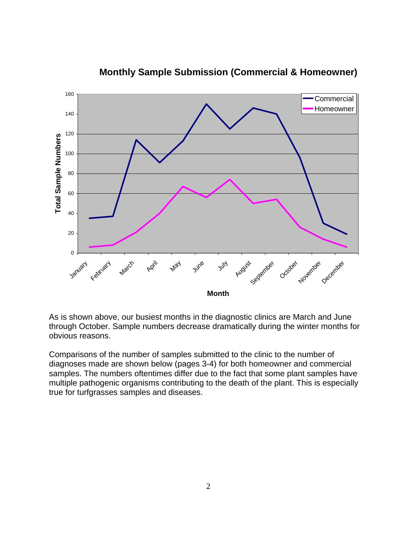

#### **Monthly Sample Submission (Commercial & Homeowner)**

As is shown above, our busiest months in the diagnostic clinics are March and June through October. Sample numbers decrease dramatically during the winter months for obvious reasons.

Comparisons of the number of samples submitted to the clinic to the number of diagnoses made are shown below (pages 3-4) for both homeowner and commercial samples. The numbers oftentimes differ due to the fact that some plant samples have multiple pathogenic organisms contributing to the death of the plant. This is especially true for turfgrasses samples and diseases.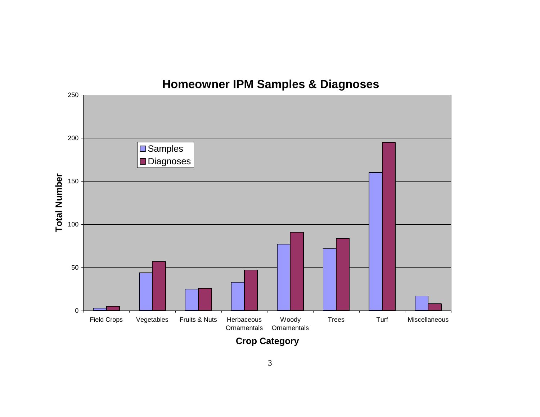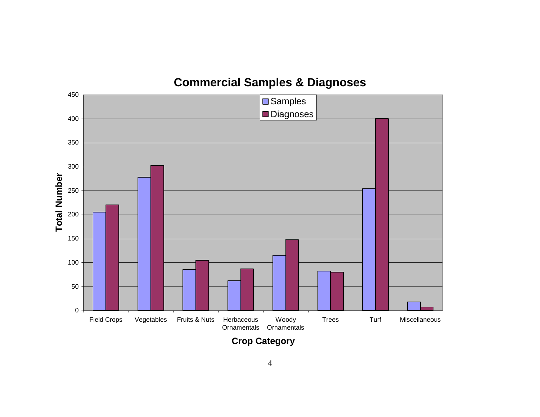

## **Commercial Samples & Diagnoses**

**Crop Category**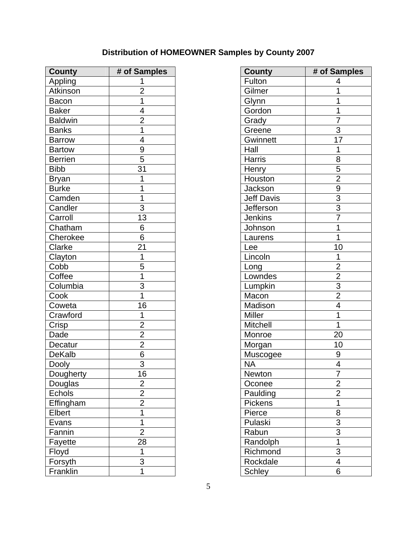### **Distribution of HOMEOWNER Samples by County 2007**

| <b>County</b>  | # of Samples   | <b>County</b>     | # of Sam        |
|----------------|----------------|-------------------|-----------------|
| Appling        |                | Fulton            | 4               |
| Atkinson       | $\overline{2}$ | Gilmer            | $\mathbf{1}$    |
| Bacon          | 1              | Glynn             | 1               |
| <b>Baker</b>   | 4              | Gordon            | $\mathbf 1$     |
| <b>Baldwin</b> | $\overline{2}$ | Grady             | $\overline{7}$  |
| <b>Banks</b>   | 1              | Greene            | 3               |
| <b>Barrow</b>  | 4              | Gwinnett          | 17              |
| <b>Bartow</b>  | 9              | Hall              | $\mathbf 1$     |
| <b>Berrien</b> | 5              | <b>Harris</b>     | 8               |
| <b>Bibb</b>    | 31             | Henry             | 5               |
| <b>Bryan</b>   | 1              | Houston           | $\overline{2}$  |
| <b>Burke</b>   | 1              | Jackson           | 9               |
| Camden         | 1              | <b>Jeff Davis</b> | $\frac{3}{3}$   |
| Candler        | $\overline{3}$ | <b>Jefferson</b>  |                 |
| Carroll        | 13             | <b>Jenkins</b>    | $\overline{7}$  |
| Chatham        | 6              | Johnson           | $\mathbf{1}$    |
| Cherokee       | $\overline{6}$ | Laurens           | $\overline{1}$  |
| Clarke         | 21             | Lee               | 10              |
| Clayton        | 1              | Lincoln           | $\mathbf{1}$    |
| Cobb           | 5              | Long              | $\overline{2}$  |
| Coffee         | 1              | Lowndes           | $\overline{2}$  |
| Columbia       | 3              | Lumpkin           | $\overline{3}$  |
| Cook           | 1              | Macon             | $\overline{2}$  |
| Coweta         | 16             | Madison           | $\overline{4}$  |
| Crawford       | 1              | <b>Miller</b>     | $\overline{1}$  |
| Crisp          | $\overline{2}$ | <b>Mitchell</b>   | $\mathbf 1$     |
| Dade           | $\overline{2}$ | Monroe            | 20              |
| Decatur        | $\overline{2}$ | Morgan            | 10 <sup>1</sup> |
| <b>DeKalb</b>  | $\overline{6}$ | Muscogee          | 9               |
| Dooly          | $\overline{3}$ | <b>NA</b>         | $\overline{4}$  |
| Dougherty      | 16             | <b>Newton</b>     | $\overline{7}$  |
| Douglas        | $\overline{2}$ | Oconee            | $\overline{2}$  |
| Echols         | $\overline{2}$ | Paulding          | $\overline{2}$  |
| Effingham      | $\overline{2}$ | Pickens           | 1               |
| Elbert         | 1              | Pierce            | 8               |
| Evans          | 1              | Pulaski           | $\mathfrak{S}$  |
| Fannin         | $\overline{2}$ | Rabun             | $\overline{3}$  |
| Fayette        | 28             | Randolph          | $\mathbf{1}$    |
| Floyd          | 1              | Richmond          | 3               |
| Forsyth        | 3              | Rockdale          | 4               |
| Franklin       | 1              | <b>Schley</b>     | 6               |

| <b>County</b>  | # of Samples   | <b>County</b>     | # of Samples            |
|----------------|----------------|-------------------|-------------------------|
| Appling        | 1              | Fulton            | 4                       |
| Atkinson       | $\overline{2}$ | Gilmer            |                         |
| Bacon          | 1              | Glynn             | 1                       |
| <b>Baker</b>   | 4              | Gordon            | 1                       |
| <b>Baldwin</b> | $\overline{2}$ | Grady             | 7                       |
| <b>Banks</b>   | 1              | Greene            | 3                       |
| <b>Barrow</b>  | 4              | Gwinnett          | 17                      |
| <b>Bartow</b>  | 9              | Hall              | 1                       |
| <b>Berrien</b> | 5              | <b>Harris</b>     | 8                       |
| <b>Bibb</b>    | 31             | Henry             | 5                       |
| Bryan          | 1              | Houston           | $\overline{2}$          |
| <b>Burke</b>   |                | Jackson           | $\boldsymbol{9}$        |
| Camden         | 1              | <b>Jeff Davis</b> | $\overline{3}$          |
| Candler        | $\overline{3}$ | Jefferson         | $\overline{3}$          |
| Carroll        | 13             | <b>Jenkins</b>    | $\overline{7}$          |
| Chatham        | 6              | Johnson           | 1                       |
| Cherokee       | 6              | Laurens           | 1                       |
| Clarke         | 21             | Lee               | 10                      |
| Clayton        | 1              | Lincoln           | 1                       |
| Cobb           | 5              | Long              | $\overline{2}$          |
| Coffee         | 1              | Lowndes           | $\overline{2}$          |
| Columbia       | 3              | Lumpkin           | $\overline{3}$          |
| Cook           | 1              | Macon             | $\overline{2}$          |
| Coweta         | 16             | Madison           | $\overline{\mathbf{4}}$ |
| Crawford       | 1              | Miller            | 1                       |
| Crisp          | $\overline{2}$ | <b>Mitchell</b>   | 1                       |
| Dade           | $\overline{2}$ | Monroe            | 20                      |
| Decatur        | $\overline{2}$ | Morgan            | 10                      |
| <b>DeKalb</b>  | 6              | Muscogee          | 9                       |
| Dooly          | $\overline{3}$ | <b>NA</b>         | $\overline{\mathbf{4}}$ |
| Dougherty      | 16             | Newton            | 7                       |
| Douglas        | $\overline{2}$ | Oconee            | $\overline{2}$          |
| <b>Echols</b>  | $\overline{2}$ | Paulding          | $\overline{2}$          |
| Effingham      | $\overline{2}$ | Pickens           |                         |
| Elbert         | 1              | Pierce            | 8                       |
| Evans          | 1              | Pulaski           | 3                       |
| Fannin         | $\overline{2}$ | Rabun             | $\overline{3}$          |
| Fayette        | 28             | Randolph          | 1                       |
| Floyd          | 1              | Richmond          | 3                       |
| Forsyth        | 3              | Rockdale          | $\overline{4}$          |
| Franklin       |                | <b>Schley</b>     | 6                       |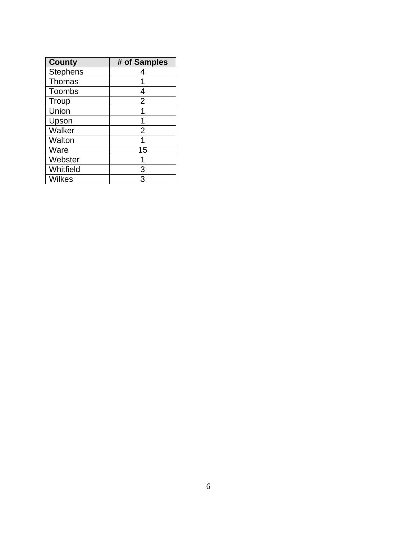| <b>County</b>   | # of Samples   |
|-----------------|----------------|
| <b>Stephens</b> |                |
| <b>Thomas</b>   |                |
| Toombs          | 4              |
| Troup           | $\overline{2}$ |
| Union           |                |
| Upson           |                |
| Walker          | 2              |
| Walton          |                |
| Ware            | 15             |
| Webster         |                |
| Whitfield       | 3              |
| Wilkes          | 3              |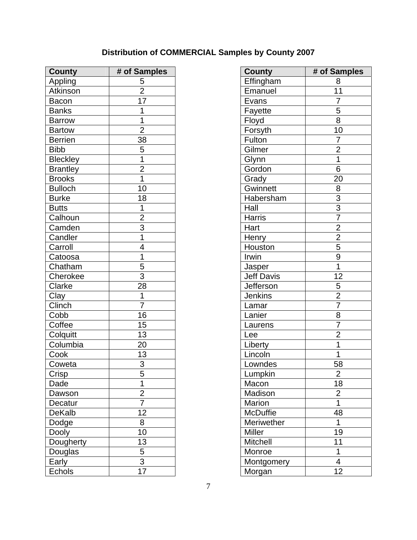### **Distribution of COMMERCIAL Samples by County 2007**

| <b>County</b>   | # of Samples   | <b>County</b>     | # of Samples   |
|-----------------|----------------|-------------------|----------------|
| Appling         | 5              | Effingham         | 8              |
| Atkinson        | $\overline{2}$ | Emanuel           | 11             |
| Bacon           | 17             | Evans             | $\overline{7}$ |
| <b>Banks</b>    | 1              | Fayette           | 5              |
| <b>Barrow</b>   | 1              | Floyd             | $\overline{8}$ |
| <b>Bartow</b>   | $\overline{2}$ | Forsyth           | 10             |
| <b>Berrien</b>  | 38             | Fulton            | $\overline{7}$ |
| <b>Bibb</b>     | 5              | Gilmer            | $\overline{2}$ |
| <b>Bleckley</b> | 1              | Glynn             | 1              |
| <b>Brantley</b> | $\overline{2}$ | Gordon            | 6              |
| <b>Brooks</b>   | 1              | Grady             | 20             |
| <b>Bulloch</b>  | 10             | Gwinnett          | 8              |
| <b>Burke</b>    | 18             | Habersham         | $\overline{3}$ |
| <b>Butts</b>    | 1              | Hall              | $\overline{3}$ |
| Calhoun         | $\overline{2}$ | <b>Harris</b>     | $\overline{7}$ |
| Camden          | $\overline{3}$ | Hart              | $\overline{2}$ |
| Candler         | 1              | Henry             | $\overline{2}$ |
| Carroll         | 4              | Houston           | $\overline{5}$ |
| Catoosa         | 1              | Irwin             | $\overline{9}$ |
| Chatham         | 5              | Jasper            | $\overline{1}$ |
| Cherokee        | $\overline{3}$ | <b>Jeff Davis</b> | 12             |
| Clarke          | 28             | Jefferson         | 5              |
| Clay            | 1              | <b>Jenkins</b>    | $\overline{2}$ |
| Clinch          | $\overline{7}$ | Lamar             | $\overline{7}$ |
| Cobb            | 16             | Lanier            | 8              |
| Coffee          | 15             | Laurens           | $\overline{7}$ |
| Colquitt        | 13             | Lee               | $\overline{2}$ |
| Columbia        | 20             | Liberty           | 1              |
| Cook            | 13             | Lincoln           | 1              |
| Coweta          | $\overline{3}$ | Lowndes           | 58             |
| Crisp           | $\overline{5}$ | Lumpkin           | $\overline{2}$ |
| Dade            | 1              | Macon             | 18             |
| Dawson          | $\overline{2}$ | Madison           | $\overline{2}$ |
| Decatur         | $\overline{7}$ | Marion            | $\mathbf{1}$   |
| DeKalb          | 12             | McDuffie          | 48             |
| Dodge           | 8              | Meriwether        | 1              |
| Dooly           | 10             | <b>Miller</b>     | 19             |
| Dougherty       | 13             | Mitchell          | 11             |
| Douglas         | 5              | Monroe            | $\mathbf 1$    |
| Early           | $\overline{3}$ | Montgomery        | $\overline{4}$ |
| Echols          | 17             | Morgan            | 12             |

| <b>County</b>     | # of Samples                                                                         |
|-------------------|--------------------------------------------------------------------------------------|
| Effingham         | 8                                                                                    |
| Emanuel           | $\overline{11}$                                                                      |
| Evans             |                                                                                      |
| Fayette           |                                                                                      |
| Floyd             | $\frac{7}{5}$                                                                        |
| Forsyth           | $\overline{10}$                                                                      |
| Fulton            | $\overline{7}$                                                                       |
| Gilmer            | $\frac{2}{1}$                                                                        |
| Glynn             |                                                                                      |
| Gordon            | $\overline{6}$                                                                       |
| Grady             | $\overline{20}$                                                                      |
| <b>Gwinnett</b>   |                                                                                      |
| Habersham         |                                                                                      |
| Hall              |                                                                                      |
| Harris            |                                                                                      |
| Hart              |                                                                                      |
| Henry             |                                                                                      |
| Houston           |                                                                                      |
| Irwin             |                                                                                      |
| Jasper            | $\frac{8}{3}$ $\frac{3}{7}$ $\frac{7}{2}$ $\frac{2}{5}$ $\frac{9}{1}$ $\frac{1}{12}$ |
| <b>Jeff Davis</b> |                                                                                      |
| Jefferson         | $\frac{1}{2}$ $\frac{1}{2}$ $\frac{7}{8}$                                            |
| Jenkins           |                                                                                      |
| Lamar             |                                                                                      |
| Lanier            |                                                                                      |
| Laurens           |                                                                                      |
| Lee               | $\frac{7}{2}$                                                                        |
| Liberty           |                                                                                      |
| Lincoln           | $\overline{1}$                                                                       |
| Lowndes           | 58                                                                                   |
| Lumpkin           | $\overline{c}$                                                                       |
| Macon             | $\overline{18}$                                                                      |
| Madison           | $\overline{2}$                                                                       |
| Marion            | 1                                                                                    |
| <b>McDuffie</b>   | 48                                                                                   |
| Meriwether        | 1                                                                                    |
| <b>Miller</b>     | 19                                                                                   |
| Mitchell          | 11                                                                                   |
| Monroe            | 1                                                                                    |
| Montgomery        | 4                                                                                    |
| Morgan            | 12                                                                                   |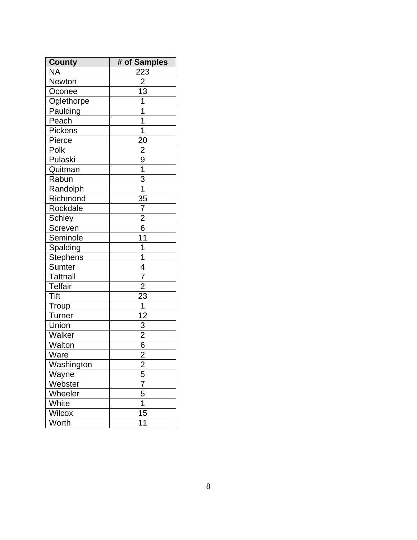| <b>County</b>   | # of Samples                                                      |
|-----------------|-------------------------------------------------------------------|
| <b>NA</b>       | 223                                                               |
| Newton          | $\overline{2}$                                                    |
| Oconee          | $\overline{13}$                                                   |
| Oglethorpe      | $\overline{1}$                                                    |
| Paulding        | $\frac{1}{1}$                                                     |
| Peach           |                                                                   |
| Pickens         | $\overline{1}$                                                    |
| Pierce          |                                                                   |
| Polk            |                                                                   |
| Pulaski         | $\frac{20}{2}$<br>$\frac{9}{1}$<br>$\frac{1}{3}$<br>$\frac{3}{1}$ |
| Quitman         |                                                                   |
| Rabun           |                                                                   |
| Randolph        |                                                                   |
| Richmond        | $\frac{3}{5}$                                                     |
| Rockdale        | $\frac{7}{2}$ $\frac{2}{6}$                                       |
| <b>Schley</b>   |                                                                   |
| Screven         |                                                                   |
| Seminole        | $\overline{11}$                                                   |
| Spalding        | $\overline{1}$                                                    |
| <b>Stephens</b> | $\frac{1}{4}$ $\frac{7}{2}$                                       |
| Sumter          |                                                                   |
| <b>Tattnall</b> |                                                                   |
| <b>Telfair</b>  |                                                                   |
| <b>Tift</b>     | $\overline{23}$                                                   |
| Troup           | $\frac{1}{12}$                                                    |
| <b>Turner</b>   |                                                                   |
| Union           | $\frac{3}{2}$ $\frac{2}{6}$                                       |
| Walker          |                                                                   |
| <b>Walton</b>   |                                                                   |
| Ware            | $\overline{2}$                                                    |
| Washington      | $\overline{2}$                                                    |
| Wayne           | 5                                                                 |
| Webster         | $\overline{7}$                                                    |
| Wheeler         | $\frac{5}{1}$                                                     |
| White           |                                                                   |
| <b>Wilcox</b>   | $\overline{15}$                                                   |
| Worth           | 11                                                                |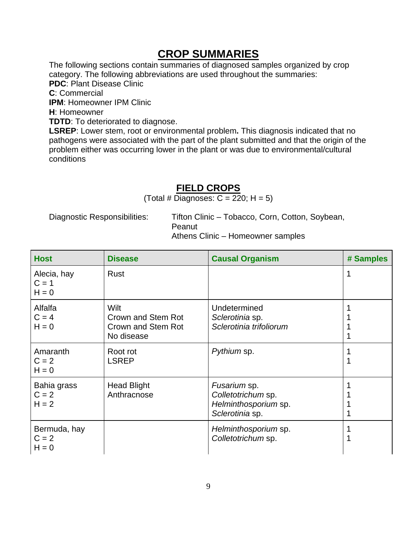### **CROP SUMMARIES**

The following sections contain summaries of diagnosed samples organized by crop category. The following abbreviations are used throughout the summaries: **PDC**: Plant Disease Clinic **C**: Commercial **IPM**: Homeowner IPM Clinic **H**: Homeowner **TDTD:** To deteriorated to diagnose.

**LSREP**: Lower stem, root or environmental problem**.** This diagnosis indicated that no pathogens were associated with the part of the plant submitted and that the origin of the problem either was occurring lower in the plant or was due to environmental/cultural conditions

#### **FIELD CROPS**

(Total # Diagnoses:  $C = 220$ ; H = 5)

Diagnostic Responsibilities: Tifton Clinic – Tobacco, Corn, Cotton, Soybean, Peanut Athens Clinic – Homeowner samples

| <b>Host</b>                        | <b>Disease</b>                                                 | <b>Causal Organism</b>                                                        | # Samples |
|------------------------------------|----------------------------------------------------------------|-------------------------------------------------------------------------------|-----------|
| Alecia, hay<br>$C = 1$<br>$H = 0$  | <b>Rust</b>                                                    |                                                                               | 1         |
| Alfalfa<br>$C = 4$<br>$H = 0$      | Wilt<br>Crown and Stem Rot<br>Crown and Stem Rot<br>No disease | Undetermined<br>Sclerotinia sp.<br>Sclerotinia trifoliorum                    |           |
| Amaranth<br>$C = 2$<br>$H = 0$     | Root rot<br><b>LSREP</b>                                       | Pythium sp.                                                                   | 1         |
| Bahia grass<br>$C = 2$<br>$H = 2$  | <b>Head Blight</b><br>Anthracnose                              | Fusarium sp.<br>Colletotrichum sp.<br>Helminthosporium sp.<br>Sclerotinia sp. |           |
| Bermuda, hay<br>$C = 2$<br>$H = 0$ |                                                                | Helminthosporium sp.<br>Colletotrichum sp.                                    |           |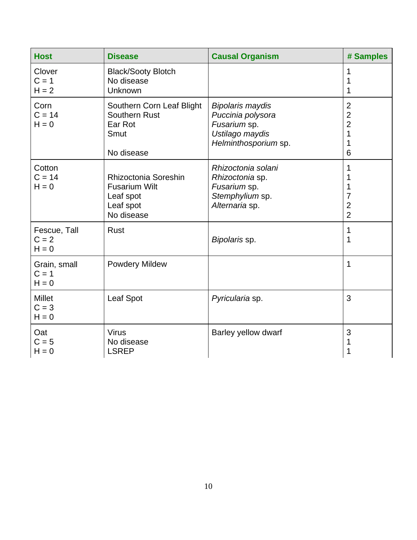| <b>Host</b>                         | <b>Disease</b>                                                                       | <b>Causal Organism</b>                                                                                  | # Samples                                                         |
|-------------------------------------|--------------------------------------------------------------------------------------|---------------------------------------------------------------------------------------------------------|-------------------------------------------------------------------|
| Clover<br>$C = 1$<br>$H = 2$        | <b>Black/Sooty Blotch</b><br>No disease<br>Unknown                                   |                                                                                                         | 1<br>1<br>1                                                       |
| Corn<br>$C = 14$<br>$H = 0$         | Southern Corn Leaf Blight<br><b>Southern Rust</b><br>Ear Rot<br>Smut<br>No disease   | <b>Bipolaris maydis</b><br>Puccinia polysora<br>Fusarium sp.<br>Ustilago maydis<br>Helminthosporium sp. | $\overline{2}$<br>$\overline{2}$<br>$\overline{2}$<br>1<br>1<br>6 |
| Cotton<br>$C = 14$<br>$H = 0$       | Rhizoctonia Soreshin<br><b>Fusarium Wilt</b><br>Leaf spot<br>Leaf spot<br>No disease | Rhizoctonia solani<br>Rhizoctonia sp.<br>Fusarium sp.<br>Stemphylium sp.<br>Alternaria sp.              | 1<br>1<br>1<br>7<br>$\overline{2}$<br>$\overline{2}$              |
| Fescue, Tall<br>$C = 2$<br>$H = 0$  | <b>Rust</b>                                                                          | Bipolaris sp.                                                                                           | 1<br>1                                                            |
| Grain, small<br>$C = 1$<br>$H = 0$  | <b>Powdery Mildew</b>                                                                |                                                                                                         | 1                                                                 |
| <b>Millet</b><br>$C = 3$<br>$H = 0$ | Leaf Spot                                                                            | Pyricularia sp.                                                                                         | 3                                                                 |
| Oat<br>$C = 5$<br>$H = 0$           | <b>Virus</b><br>No disease<br><b>LSREP</b>                                           | Barley yellow dwarf                                                                                     | 3<br>1                                                            |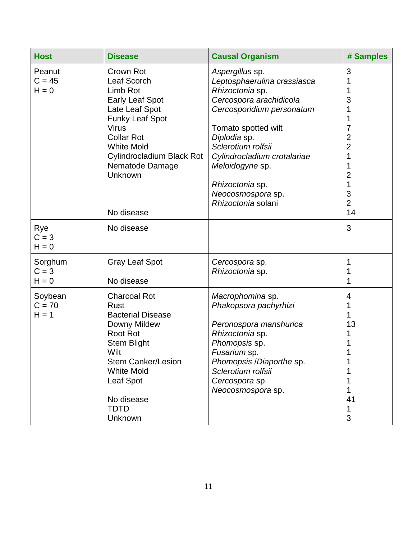| <b>Host</b>                    | <b>Disease</b>                                                                                                                                                                                                                                | <b>Causal Organism</b>                                                                                                                                                                                                                                                                                 | # Samples                                                                 |
|--------------------------------|-----------------------------------------------------------------------------------------------------------------------------------------------------------------------------------------------------------------------------------------------|--------------------------------------------------------------------------------------------------------------------------------------------------------------------------------------------------------------------------------------------------------------------------------------------------------|---------------------------------------------------------------------------|
| Peanut<br>$C = 45$<br>$H = 0$  | Crown Rot<br>Leaf Scorch<br>Limb Rot<br><b>Early Leaf Spot</b><br>Late Leaf Spot<br><b>Funky Leaf Spot</b><br><b>Virus</b><br><b>Collar Rot</b><br><b>White Mold</b><br>Cylindrocladium Black Rot<br>Nematode Damage<br>Unknown<br>No disease | Aspergillus sp.<br>Leptosphaerulina crassiasca<br>Rhizoctonia sp.<br>Cercospora arachidicola<br>Cercosporidium personatum<br>Tomato spotted wilt<br>Diplodia sp.<br>Sclerotium rolfsii<br>Cylindrocladium crotalariae<br>Meloidogyne sp.<br>Rhizoctonia sp.<br>Neocosmospora sp.<br>Rhizoctonia solani | 3<br>3<br>7<br>2<br>$\overline{2}$<br>1<br>2<br>3<br>$\overline{2}$<br>14 |
| Rye<br>$C = 3$<br>$H = 0$      | No disease                                                                                                                                                                                                                                    |                                                                                                                                                                                                                                                                                                        | 3                                                                         |
| Sorghum<br>$C = 3$<br>$H = 0$  | <b>Gray Leaf Spot</b><br>No disease                                                                                                                                                                                                           | Cercospora sp.<br>Rhizoctonia sp.                                                                                                                                                                                                                                                                      | 1                                                                         |
| Soybean<br>$C = 70$<br>$H = 1$ | <b>Charcoal Rot</b><br>Rust<br><b>Bacterial Disease</b><br>Downy Mildew<br><b>Root Rot</b><br><b>Stem Blight</b><br>Wilt<br><b>Stem Canker/Lesion</b><br><b>White Mold</b><br>Leaf Spot<br>No disease<br><b>TDTD</b><br>Unknown               | Macrophomina sp.<br>Phakopsora pachyrhizi<br>Peronospora manshurica<br>Rhizoctonia sp.<br>Phomopsis sp.<br>Fusarium sp.<br>Phomopsis / Diaporthe sp.<br>Sclerotium rolfsii<br>Cercospora sp.<br>Neocosmospora sp.                                                                                      | 4<br>1<br>13<br>41<br>1<br>3                                              |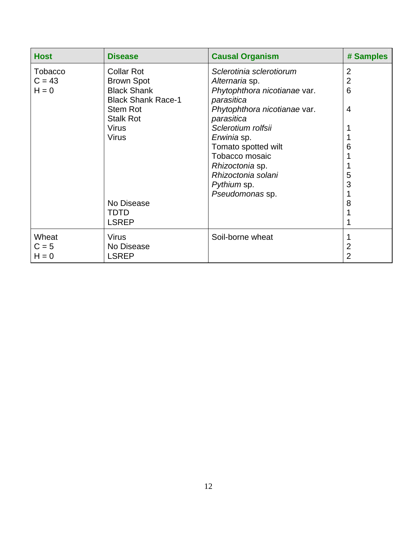| <b>Host</b>                    | <b>Disease</b>                                                                                                                                     | <b>Causal Organism</b>                                                                                                                                                      | # Samples                     |
|--------------------------------|----------------------------------------------------------------------------------------------------------------------------------------------------|-----------------------------------------------------------------------------------------------------------------------------------------------------------------------------|-------------------------------|
| Tobacco<br>$C = 43$<br>$H = 0$ | <b>Collar Rot</b><br><b>Brown Spot</b><br><b>Black Shank</b><br><b>Black Shank Race-1</b><br>Stem Rot<br><b>Stalk Rot</b><br><b>Virus</b><br>Virus | Sclerotinia sclerotiorum<br>Alternaria sp.<br>Phytophthora nicotianae var.<br>parasitica<br>Phytophthora nicotianae var.<br>parasitica<br>Sclerotium rolfsii<br>Erwinia sp. | 2<br>$\overline{2}$<br>6<br>4 |
|                                | No Disease                                                                                                                                         | Tomato spotted wilt<br>Tobacco mosaic<br>Rhizoctonia sp.<br>Rhizoctonia solani<br>Pythium sp.<br>Pseudomonas sp.                                                            | ჩ<br>5<br>3<br>8              |
|                                | TDTD<br><b>LSREP</b>                                                                                                                               |                                                                                                                                                                             |                               |
| Wheat<br>$C = 5$<br>$H = 0$    | <b>Virus</b><br>No Disease<br><b>LSREP</b>                                                                                                         | Soil-borne wheat                                                                                                                                                            | 2<br>2                        |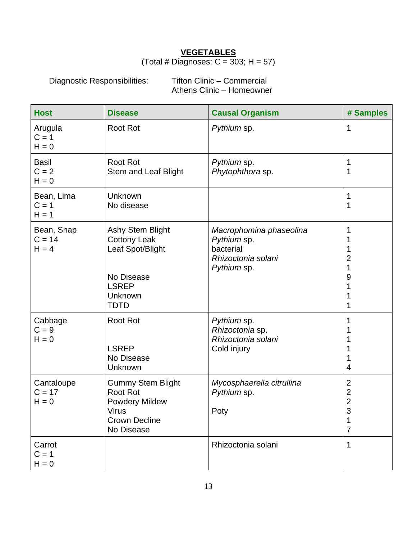#### **VEGETABLES**

#### (Total # Diagnoses:  $C = 303$ ; H = 57)

Diagnostic Responsibilities: Tifton Clinic – Commercial Athens Clinic – Homeowner

| <b>Host</b>                        | <b>Disease</b>                                                                                                             | <b>Causal Organism</b>                                                                   | # Samples                                                               |
|------------------------------------|----------------------------------------------------------------------------------------------------------------------------|------------------------------------------------------------------------------------------|-------------------------------------------------------------------------|
| Arugula<br>$C = 1$<br>$H = 0$      | <b>Root Rot</b>                                                                                                            | Pythium sp.                                                                              | 1                                                                       |
| <b>Basil</b><br>$C = 2$<br>$H = 0$ | <b>Root Rot</b><br>Stem and Leaf Blight                                                                                    | Pythium sp.<br>Phytophthora sp.                                                          | 1<br>1                                                                  |
| Bean, Lima<br>$C = 1$<br>$H = 1$   | Unknown<br>No disease                                                                                                      |                                                                                          | 1<br>1                                                                  |
| Bean, Snap<br>$C = 14$<br>$H = 4$  | <b>Ashy Stem Blight</b><br><b>Cottony Leak</b><br>Leaf Spot/Blight<br>No Disease<br><b>LSREP</b><br>Unknown<br><b>TDTD</b> | Macrophomina phaseolina<br>Pythium sp.<br>bacterial<br>Rhizoctonia solani<br>Pythium sp. | $\overline{2}$<br>1<br>9                                                |
| Cabbage<br>$C = 9$<br>$H = 0$      | <b>Root Rot</b><br><b>LSREP</b><br>No Disease<br>Unknown                                                                   | Pythium sp.<br>Rhizoctonia sp.<br>Rhizoctonia solani<br>Cold injury                      | 4                                                                       |
| Cantaloupe<br>$C = 17$<br>$H = 0$  | <b>Gummy Stem Blight</b><br><b>Root Rot</b><br><b>Powdery Mildew</b><br>Virus<br><b>Crown Decline</b><br>No Disease        | Mycosphaerella citrullina<br>Pythium sp.<br>Poty                                         | $\overline{2}$<br>$\mathbf{2}$<br>$\overline{2}$<br>s<br>$\overline{7}$ |
| Carrot<br>$C = 1$<br>$H = 0$       |                                                                                                                            | Rhizoctonia solani                                                                       | 1                                                                       |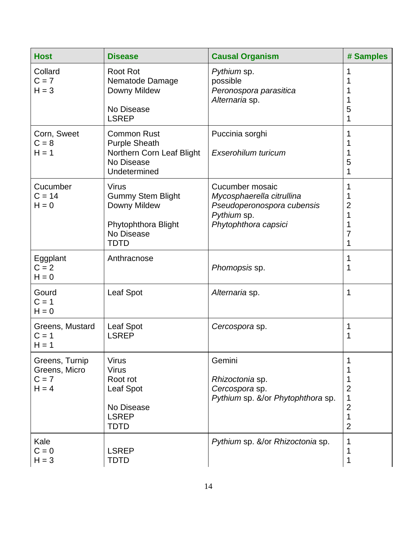| <b>Host</b>                                           | <b>Disease</b>                                                                                               | <b>Causal Organism</b>                                                                                            | # Samples                                            |
|-------------------------------------------------------|--------------------------------------------------------------------------------------------------------------|-------------------------------------------------------------------------------------------------------------------|------------------------------------------------------|
| Collard<br>$C = 7$<br>$H = 3$                         | <b>Root Rot</b><br>Nematode Damage<br>Downy Mildew<br>No Disease<br><b>LSREP</b>                             | Pythium sp.<br>possible<br>Peronospora parasitica<br>Alternaria sp.                                               | 1<br>5<br>1                                          |
| Corn, Sweet<br>$C = 8$<br>$H = 1$                     | <b>Common Rust</b><br><b>Purple Sheath</b><br>Northern Corn Leaf Blight<br>No Disease<br>Undetermined        | Puccinia sorghi<br>Exserohilum turicum                                                                            | 1<br>5<br>1                                          |
| Cucumber<br>$C = 14$<br>$H = 0$                       | <b>Virus</b><br><b>Gummy Stem Blight</b><br>Downy Mildew<br>Phytophthora Blight<br>No Disease<br><b>TDTD</b> | Cucumber mosaic<br>Mycosphaerella citrullina<br>Pseudoperonospora cubensis<br>Pythium sp.<br>Phytophthora capsici | 1<br>2<br>1<br>1<br>7<br>1                           |
| Eggplant<br>$C = 2$<br>$H = 0$                        | Anthracnose                                                                                                  | Phomopsis sp.                                                                                                     | 1<br>1                                               |
| Gourd<br>$C = 1$<br>$H = 0$                           | Leaf Spot                                                                                                    | Alternaria sp.                                                                                                    | 1                                                    |
| Greens, Mustard<br>$C = 1$<br>$H = 1$                 | Leaf Spot<br><b>LSREP</b>                                                                                    | Cercospora sp.                                                                                                    | 1<br>1                                               |
| Greens, Turnip<br>Greens, Micro<br>$C = 7$<br>$H = 4$ | <b>Virus</b><br><b>Virus</b><br>Root rot<br>Leaf Spot<br>No Disease<br><b>LSREP</b><br><b>TDTD</b>           | Gemini<br>Rhizoctonia sp.<br>Cercospora sp.<br>Pythium sp. &/or Phytophthora sp.                                  | 1<br>2<br>1<br>$\overline{2}$<br>1<br>$\overline{2}$ |
| Kale<br>$C = 0$<br>$H = 3$                            | <b>LSREP</b><br>TDTD                                                                                         | Pythium sp. &/or Rhizoctonia sp.                                                                                  | 1<br>1<br>1                                          |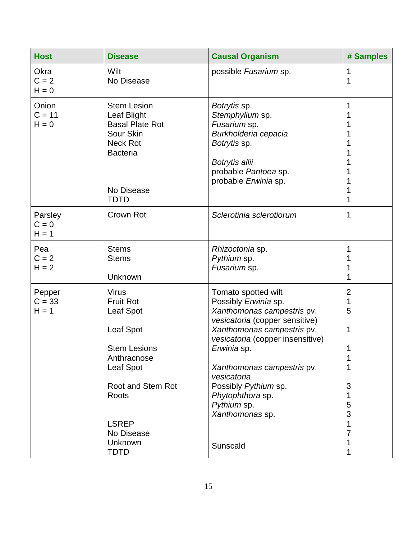| <b>Host</b>                   | <b>Disease</b>                                                                                                                                                                                             | <b>Causal Organism</b>                                                                                                                                                                                                                                                                                                              | # Samples                                                                            |
|-------------------------------|------------------------------------------------------------------------------------------------------------------------------------------------------------------------------------------------------------|-------------------------------------------------------------------------------------------------------------------------------------------------------------------------------------------------------------------------------------------------------------------------------------------------------------------------------------|--------------------------------------------------------------------------------------|
| Okra<br>$C = 2$<br>$H = 0$    | Wilt<br>No Disease                                                                                                                                                                                         | possible Fusarium sp.                                                                                                                                                                                                                                                                                                               | 1<br>1                                                                               |
| Onion<br>$C = 11$<br>$H = 0$  | <b>Stem Lesion</b><br>Leaf Blight<br><b>Basal Plate Rot</b><br>Sour Skin<br><b>Neck Rot</b><br><b>Bacteria</b><br>No Disease<br><b>TDTD</b>                                                                | Botrytis sp.<br>Stemphylium sp.<br>Fusarium sp.<br>Burkholderia cepacia<br>Botrytis sp.<br>Botrytis allii<br>probable Pantoea sp.<br>probable Erwinia sp.                                                                                                                                                                           | 1<br>1<br>1<br>1<br>1                                                                |
| Parsley<br>$C = 0$<br>$H = 1$ | Crown Rot                                                                                                                                                                                                  | Sclerotinia sclerotiorum                                                                                                                                                                                                                                                                                                            | 1                                                                                    |
| Pea<br>$C = 2$<br>$H = 2$     | <b>Stems</b><br><b>Stems</b><br>Unknown                                                                                                                                                                    | Rhizoctonia sp.<br>Pythium sp.<br>Fusarium sp.                                                                                                                                                                                                                                                                                      | 1<br>1<br>1                                                                          |
| Pepper<br>$C = 33$<br>$H = 1$ | <b>Virus</b><br><b>Fruit Rot</b><br>Leaf Spot<br>Leaf Spot<br><b>Stem Lesions</b><br>Anthracnose<br>Leaf Spot<br>Root and Stem Rot<br><b>Roots</b><br><b>LSREP</b><br>No Disease<br>Unknown<br><b>TDTD</b> | Tomato spotted wilt<br>Possibly Erwinia sp.<br>Xanthomonas campestris pv.<br>vesicatoria (copper sensitive)<br>Xanthomonas campestris pv.<br>vesicatoria (copper insensitive)<br>Erwinia sp.<br>Xanthomonas campestris pv.<br>vesicatoria<br>Possibly Pythium sp.<br>Phytophthora sp.<br>Pythium sp.<br>Xanthomonas sp.<br>Sunscald | $\overline{2}$<br>1<br>5<br>1<br>1<br>1<br>1<br>3<br>1<br>5<br>3<br>1<br>7<br>1<br>1 |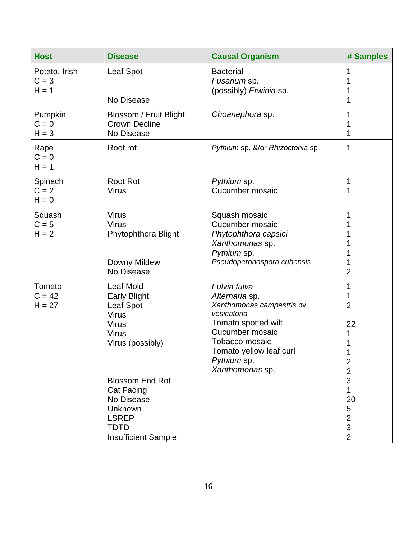| <b>Host</b>                         | <b>Disease</b>                                                                                                                                                                                                                           | <b>Causal Organism</b>                                                                                                                                                                               | # Samples                                                                                                            |
|-------------------------------------|------------------------------------------------------------------------------------------------------------------------------------------------------------------------------------------------------------------------------------------|------------------------------------------------------------------------------------------------------------------------------------------------------------------------------------------------------|----------------------------------------------------------------------------------------------------------------------|
| Potato, Irish<br>$C = 3$<br>$H = 1$ | <b>Leaf Spot</b><br>No Disease                                                                                                                                                                                                           | <b>Bacterial</b><br>Fusarium sp.<br>(possibly) Erwinia sp.                                                                                                                                           |                                                                                                                      |
| Pumpkin<br>$C = 0$<br>$H = 3$       | Blossom / Fruit Blight<br><b>Crown Decline</b><br>No Disease                                                                                                                                                                             | Choanephora sp.                                                                                                                                                                                      |                                                                                                                      |
| Rape<br>$C = 0$<br>$H = 1$          | Root rot                                                                                                                                                                                                                                 | Pythium sp. &/or Rhizoctonia sp.                                                                                                                                                                     | 1                                                                                                                    |
| Spinach<br>$C = 2$<br>$H = 0$       | <b>Root Rot</b><br><b>Virus</b>                                                                                                                                                                                                          | Pythium sp.<br>Cucumber mosaic                                                                                                                                                                       | 1<br>1                                                                                                               |
| Squash<br>$C = 5$<br>$H = 2$        | <b>Virus</b><br><b>Virus</b><br>Phytophthora Blight<br>Downy Mildew<br>No Disease                                                                                                                                                        | Squash mosaic<br>Cucumber mosaic<br>Phytophthora capsici<br>Xanthomonas sp.<br>Pythium sp.<br>Pseudoperonospora cubensis                                                                             | $\overline{2}$                                                                                                       |
| Tomato<br>$C = 42$<br>$H = 27$      | Leaf Mold<br>Early Blight<br>Leaf Spot<br><b>Virus</b><br><b>Virus</b><br><b>Virus</b><br>Virus (possibly)<br><b>Blossom End Rot</b><br>Cat Facing<br>No Disease<br>Unknown<br><b>LSREP</b><br><b>TDTD</b><br><b>Insufficient Sample</b> | Fulvia fulva<br>Alternaria sp.<br>Xanthomonas campestris pv.<br>vesicatoria<br>Tomato spotted wilt<br>Cucumber mosaic<br>Tobacco mosaic<br>Tomato yellow leaf curl<br>Pythium sp.<br>Xanthomonas sp. | $\overline{2}$<br>22<br>2<br>$\overline{2}$<br>3<br>1<br>20<br>5<br>2<br>$\ensuremath{\mathsf{3}}$<br>$\overline{2}$ |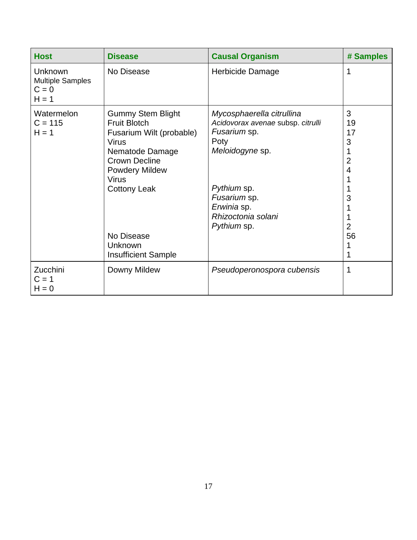| <b>Host</b>                                                     | <b>Disease</b>                                                                                                                                                                                                                                  | <b>Causal Organism</b>                                                                                                                                                                       | # Samples                                                              |
|-----------------------------------------------------------------|-------------------------------------------------------------------------------------------------------------------------------------------------------------------------------------------------------------------------------------------------|----------------------------------------------------------------------------------------------------------------------------------------------------------------------------------------------|------------------------------------------------------------------------|
| <b>Unknown</b><br><b>Multiple Samples</b><br>$C = 0$<br>$H = 1$ | No Disease                                                                                                                                                                                                                                      | Herbicide Damage                                                                                                                                                                             | 1                                                                      |
| Watermelon<br>$C = 115$<br>$H = 1$                              | <b>Gummy Stem Blight</b><br><b>Fruit Blotch</b><br>Fusarium Wilt (probable)<br>Virus<br>Nematode Damage<br><b>Crown Decline</b><br><b>Powdery Mildew</b><br>Virus<br><b>Cottony Leak</b><br>No Disease<br>Unknown<br><b>Insufficient Sample</b> | Mycosphaerella citrullina<br>Acidovorax avenae subsp. citrulli<br>Fusarium sp.<br>Poty<br>Meloidogyne sp.<br>Pythium sp.<br>Fusarium sp.<br>Erwinia sp.<br>Rhizoctonia solani<br>Pythium sp. | 3<br>19<br>17<br>3<br>$\overline{2}$<br>4<br>3<br>$\overline{2}$<br>56 |
| Zucchini<br>$C = 1$<br>$H = 0$                                  | Downy Mildew                                                                                                                                                                                                                                    | Pseudoperonospora cubensis                                                                                                                                                                   | 1                                                                      |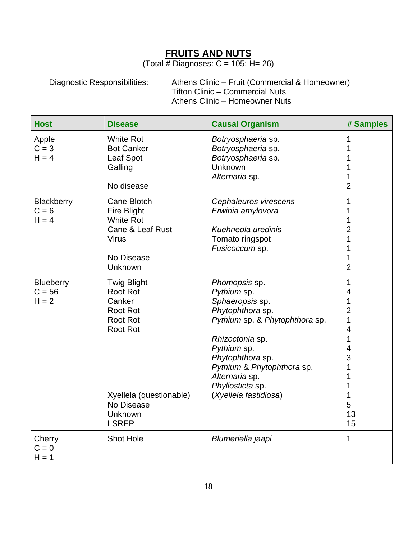### **FRUITS AND NUTS**

(Total  $\frac{1}{4}$  Diagnoses: C = 105; H= 26)

Diagnostic Responsibilities: Athens Clinic – Fruit (Commercial & Homeowner) Tifton Clinic – Commercial Nuts Athens Clinic – Homeowner Nuts

| <b>Host</b>                             | <b>Disease</b>                                                                                                                                                               | <b>Causal Organism</b>                                                                                                                                                                                                                                   | # Samples                                                                                                                                                                                         |
|-----------------------------------------|------------------------------------------------------------------------------------------------------------------------------------------------------------------------------|----------------------------------------------------------------------------------------------------------------------------------------------------------------------------------------------------------------------------------------------------------|---------------------------------------------------------------------------------------------------------------------------------------------------------------------------------------------------|
| Apple<br>$C = 3$<br>$H = 4$             | <b>White Rot</b><br><b>Bot Canker</b><br><b>Leaf Spot</b><br>Galling<br>No disease                                                                                           | Botryosphaeria sp.<br>Botryosphaeria sp.<br>Botryosphaeria sp.<br><b>Unknown</b><br>Alternaria sp.                                                                                                                                                       | 1<br>1<br>1<br>1<br>1<br>$\overline{2}$                                                                                                                                                           |
| Blackberry<br>$C = 6$<br>$H = 4$        | Cane Blotch<br><b>Fire Blight</b><br><b>White Rot</b><br>Cane & Leaf Rust<br><b>Virus</b><br>No Disease<br>Unknown                                                           | Cephaleuros virescens<br>Erwinia amylovora<br>Kuehneola uredinis<br>Tomato ringspot<br>Fusicoccum sp.                                                                                                                                                    | 1<br>1<br>1<br>$\overline{2}$<br>$\overline{1}$<br>1<br>1<br>$\overline{2}$                                                                                                                       |
| <b>Blueberry</b><br>$C = 56$<br>$H = 2$ | <b>Twig Blight</b><br><b>Root Rot</b><br>Canker<br><b>Root Rot</b><br><b>Root Rot</b><br><b>Root Rot</b><br>Xyellela (questionable)<br>No Disease<br>Unknown<br><b>LSREP</b> | Phomopsis sp.<br>Pythium sp.<br>Sphaeropsis sp.<br>Phytophthora sp.<br>Pythium sp. & Phytophthora sp.<br>Rhizoctonia sp.<br>Pythium sp.<br>Phytophthora sp.<br>Pythium & Phytophthora sp.<br>Alternaria sp.<br>Phyllosticta sp.<br>(Xyellela fastidiosa) | $\mathbf{1}$<br>$\overline{4}$<br>$\mathbf{1}$<br>$\overline{2}$<br>$\mathbf 1$<br>$\overline{\mathbf{4}}$<br>$\mathbf{1}$<br>$\overline{4}$<br>3<br>$\mathbf{1}$<br>1<br>1<br>1<br>5<br>13<br>15 |
| Cherry<br>$C = 0$<br>$H = 1$            | <b>Shot Hole</b>                                                                                                                                                             | Blumeriella jaapi                                                                                                                                                                                                                                        | $\mathbf{1}$                                                                                                                                                                                      |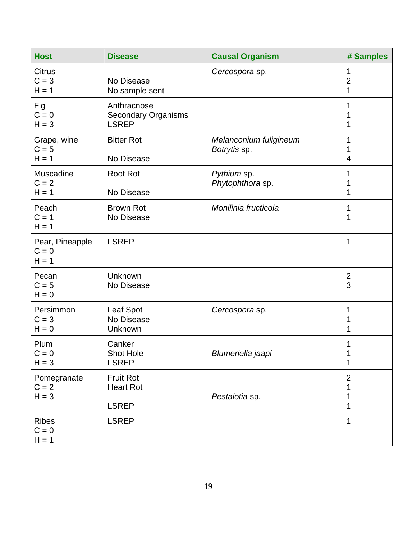| <b>Host</b>                           | <b>Disease</b>                                            | <b>Causal Organism</b>                 | # Samples                     |
|---------------------------------------|-----------------------------------------------------------|----------------------------------------|-------------------------------|
| <b>Citrus</b><br>$C = 3$<br>$H = 1$   | No Disease<br>No sample sent                              | Cercospora sp.                         | 1<br>$\overline{2}$<br>1      |
| Fig<br>$C = 0$<br>$H = 3$             | Anthracnose<br><b>Secondary Organisms</b><br><b>LSREP</b> |                                        | 1<br>1<br>1                   |
| Grape, wine<br>$C = 5$<br>$H = 1$     | <b>Bitter Rot</b><br>No Disease                           | Melanconium fuligineum<br>Botrytis sp. | 1<br>1<br>4                   |
| Muscadine<br>$C = 2$<br>$H = 1$       | <b>Root Rot</b><br>No Disease                             | Pythium sp.<br>Phytophthora sp.        | 1<br>1<br>1                   |
| Peach<br>$C = 1$<br>$H = 1$           | <b>Brown Rot</b><br>No Disease                            | Monilinia fructicola                   | 1<br>1                        |
| Pear, Pineapple<br>$C = 0$<br>$H = 1$ | <b>LSREP</b>                                              |                                        | 1                             |
| Pecan<br>$C = 5$<br>$H = 0$           | Unknown<br>No Disease                                     |                                        | $\overline{2}$<br>3           |
| Persimmon<br>$C = 3$<br>$H = 0$       | Leaf Spot<br>No Disease<br>Unknown                        | Cercospora sp.                         | 1<br>1                        |
| Plum<br>$C = 0$<br>$H = 3$            | Canker<br><b>Shot Hole</b><br><b>LSREP</b>                | Blumeriella jaapi                      | 1<br>1<br>1                   |
| Pomegranate<br>$C = 2$<br>$H = 3$     | <b>Fruit Rot</b><br><b>Heart Rot</b><br><b>LSREP</b>      | Pestalotia sp.                         | $\overline{2}$<br>1<br>1<br>1 |
| <b>Ribes</b><br>$C = 0$<br>$H = 1$    | <b>LSREP</b>                                              |                                        | 1                             |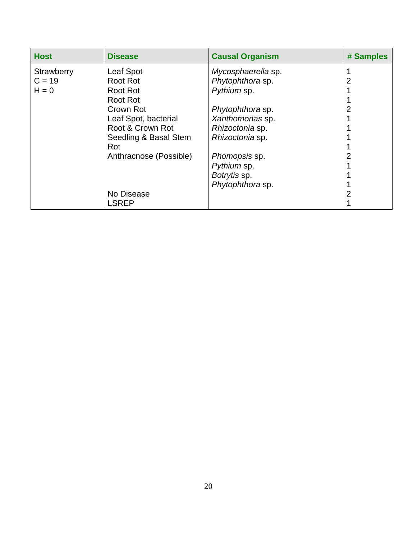| <b>Host</b> | <b>Disease</b>         | <b>Causal Organism</b> | # Samples |
|-------------|------------------------|------------------------|-----------|
| Strawberry  | Leaf Spot              | Mycosphaerella sp.     |           |
| $C = 19$    | Root Rot               | Phytophthora sp.       | 2         |
| $H = 0$     | Root Rot               | Pythium sp.            |           |
|             | Root Rot               |                        |           |
|             | Crown Rot              | Phytophthora sp.       |           |
|             | Leaf Spot, bacterial   | Xanthomonas sp.        |           |
|             | Root & Crown Rot       | Rhizoctonia sp.        |           |
|             | Seedling & Basal Stem  | Rhizoctonia sp.        |           |
|             | Rot                    |                        |           |
|             | Anthracnose (Possible) | Phomopsis sp.          |           |
|             |                        | Pythium sp.            |           |
|             |                        | Botrytis sp.           |           |
|             |                        | Phytophthora sp.       |           |
|             | No Disease             |                        | 2         |
|             | <b>LSREP</b>           |                        |           |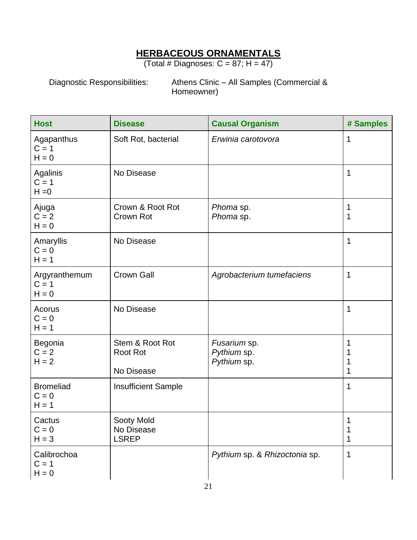### **HERBACEOUS ORNAMENTALS**

(Total # Diagnoses:  $C = 87$ ; H = 47)

Diagnostic Responsibilities: Athens Clinic – All Samples (Commercial & Homeowner)

| <b>Host</b>                            | <b>Disease</b>                                   | <b>Causal Organism</b>                     | # Samples              |
|----------------------------------------|--------------------------------------------------|--------------------------------------------|------------------------|
| Agapanthus<br>$C = 1$<br>$H = 0$       | Soft Rot, bacterial                              | Erwinia carotovora                         | 1                      |
| Agalinis<br>$C = 1$<br>$H = 0$         | No Disease                                       |                                            | 1                      |
| Ajuga<br>$C = 2$<br>$H = 0$            | Crown & Root Rot<br>Crown Rot                    | Phoma sp.<br>Phoma sp.                     | 1<br>1                 |
| Amaryllis<br>$C = 0$<br>$H = 1$        | No Disease                                       |                                            | 1                      |
| Argyranthemum<br>$C = 1$<br>$H = 0$    | <b>Crown Gall</b>                                | Agrobacterium tumefaciens                  | 1                      |
| Acorus<br>$C = 0$<br>$H = 1$           | No Disease                                       |                                            | 1                      |
| Begonia<br>$C = 2$<br>$H = 2$          | Stem & Root Rot<br><b>Root Rot</b><br>No Disease | Fusarium sp.<br>Pythium sp.<br>Pythium sp. | 1<br>1<br>1<br>1       |
| <b>Bromeliad</b><br>$C = 0$<br>$H = 1$ | <b>Insufficient Sample</b>                       |                                            | 1                      |
| Cactus<br>$C = 0$<br>$H = 3$           | Sooty Mold<br>No Disease<br><b>LSREP</b>         |                                            | $\mathbf{1}$<br>1<br>1 |
| Calibrochoa<br>$C = 1$<br>$H = 0$      |                                                  | Pythium sp. & Rhizoctonia sp.              | $\mathbf 1$            |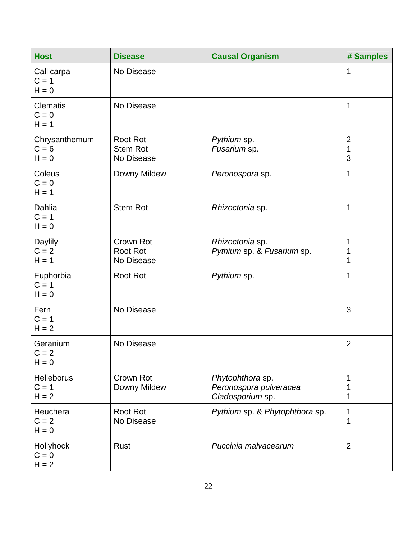| <b>Host</b>                             | <b>Disease</b>                            | <b>Causal Organism</b>                                         | # Samples                |
|-----------------------------------------|-------------------------------------------|----------------------------------------------------------------|--------------------------|
| Callicarpa<br>$C = 1$<br>$H = 0$        | No Disease                                |                                                                | 1                        |
| <b>Clematis</b><br>$C = 0$<br>$H = 1$   | No Disease                                |                                                                | $\mathbf 1$              |
| Chrysanthemum<br>$C = 6$<br>$H = 0$     | Root Rot<br><b>Stem Rot</b><br>No Disease | Pythium sp.<br>Fusarium sp.                                    | $\overline{2}$<br>1<br>3 |
| Coleus<br>$C = 0$<br>$H = 1$            | Downy Mildew                              | Peronospora sp.                                                | 1                        |
| Dahlia<br>$C = 1$<br>$H = 0$            | <b>Stem Rot</b>                           | Rhizoctonia sp.                                                | 1                        |
| Daylily<br>$C = 2$<br>$H = 1$           | Crown Rot<br>Root Rot<br>No Disease       | Rhizoctonia sp.<br>Pythium sp. & Fusarium sp.                  | 1<br>1<br>1              |
| Euphorbia<br>$C = 1$<br>$H = 0$         | <b>Root Rot</b>                           | Pythium sp.                                                    | 1                        |
| Fern<br>$C = 1$<br>$H = 2$              | No Disease                                |                                                                | 3                        |
| Geranium<br>$C = 2$<br>$H = 0$          | No Disease                                |                                                                | $\overline{2}$           |
| <b>Helleborus</b><br>$C = 1$<br>$H = 2$ | Crown Rot<br>Downy Mildew                 | Phytophthora sp.<br>Peronospora pulveracea<br>Cladosporium sp. | 1<br>1<br>1              |
| Heuchera<br>$C = 2$<br>$H = 0$          | Root Rot<br>No Disease                    | Pythium sp. & Phytophthora sp.                                 | 1<br>1                   |
| Hollyhock<br>$C = 0$<br>$H = 2$         | Rust                                      | Puccinia malvacearum                                           | $\overline{2}$           |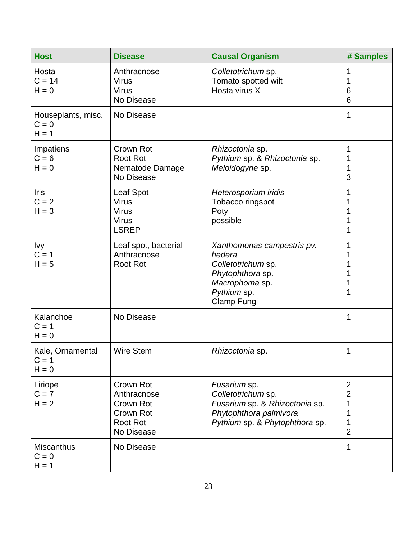| <b>Host</b>                              | <b>Disease</b>                                                                      | <b>Causal Organism</b>                                                                                                           | # Samples                          |
|------------------------------------------|-------------------------------------------------------------------------------------|----------------------------------------------------------------------------------------------------------------------------------|------------------------------------|
| Hosta<br>$C = 14$<br>$H = 0$             | Anthracnose<br><b>Virus</b><br><b>Virus</b><br>No Disease                           | Colletotrichum sp.<br>Tomato spotted wilt<br>Hosta virus X                                                                       | 1<br>6<br>6                        |
| Houseplants, misc.<br>$C = 0$<br>$H = 1$ | No Disease                                                                          |                                                                                                                                  | 1                                  |
| Impatiens<br>$C = 6$<br>$H = 0$          | Crown Rot<br><b>Root Rot</b><br>Nematode Damage<br>No Disease                       | Rhizoctonia sp.<br>Pythium sp. & Rhizoctonia sp.<br>Meloidogyne sp.                                                              | 1<br>3                             |
| <b>Iris</b><br>$C = 2$<br>$H = 3$        | Leaf Spot<br><b>Virus</b><br><b>Virus</b><br><b>Virus</b><br><b>LSREP</b>           | Heterosporium iridis<br>Tobacco ringspot<br>Poty<br>possible                                                                     | 1<br>1                             |
| Ivy<br>$C = 1$<br>$H = 5$                | Leaf spot, bacterial<br>Anthracnose<br><b>Root Rot</b>                              | Xanthomonas campestris pv.<br>hedera<br>Colletotrichum sp.<br>Phytophthora sp.<br>Macrophoma sp.<br>Pythium sp.<br>Clamp Fungi   | 1<br>1                             |
| Kalanchoe<br>$C = 1$<br>$H = 0$          | No Disease                                                                          |                                                                                                                                  | 1                                  |
| Kale, Ornamental<br>$C = 1$<br>$H = 0$   | <b>Wire Stem</b>                                                                    | Rhizoctonia sp.                                                                                                                  | 1                                  |
| Liriope<br>$C = 7$<br>$H = 2$            | Crown Rot<br>Anthracnose<br>Crown Rot<br>Crown Rot<br><b>Root Rot</b><br>No Disease | Fusarium sp.<br>Colletotrichum sp.<br>Fusarium sp. & Rhizoctonia sp.<br>Phytophthora palmivora<br>Pythium sp. & Phytophthora sp. | 2<br>2<br>1<br>1<br>$\overline{2}$ |
| <b>Miscanthus</b><br>$C = 0$<br>$H = 1$  | No Disease                                                                          |                                                                                                                                  | 1                                  |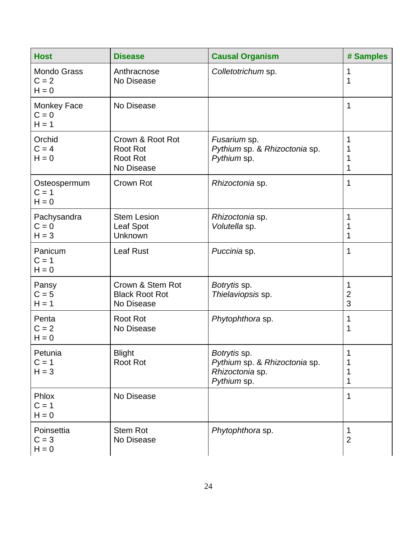| <b>Host</b>                              | <b>Disease</b>                                                       | <b>Causal Organism</b>                                                          | # Samples                          |
|------------------------------------------|----------------------------------------------------------------------|---------------------------------------------------------------------------------|------------------------------------|
| <b>Mondo Grass</b><br>$C = 2$<br>$H = 0$ | Anthracnose<br>No Disease                                            | Colletotrichum sp.                                                              | 1<br>1                             |
| Monkey Face<br>$C = 0$<br>$H = 1$        | No Disease                                                           |                                                                                 | 1                                  |
| Orchid<br>$C = 4$<br>$H = 0$             | Crown & Root Rot<br><b>Root Rot</b><br><b>Root Rot</b><br>No Disease | Fusarium sp.<br>Pythium sp. & Rhizoctonia sp.<br>Pythium sp.                    | 1<br>1<br>1                        |
| Osteospermum<br>$C = 1$<br>$H = 0$       | Crown Rot                                                            | Rhizoctonia sp.                                                                 | 1                                  |
| Pachysandra<br>$C = 0$<br>$H = 3$        | <b>Stem Lesion</b><br>Leaf Spot<br>Unknown                           | Rhizoctonia sp.<br>Volutella sp.                                                | 1<br>1<br>1                        |
| Panicum<br>$C = 1$<br>$H = 0$            | <b>Leaf Rust</b>                                                     | Puccinia sp.                                                                    | 1                                  |
| Pansy<br>$C = 5$<br>$H = 1$              | Crown & Stem Rot<br><b>Black Root Rot</b><br>No Disease              | Botrytis sp.<br>Thielaviopsis sp.                                               | $\mathbf 1$<br>$\overline{2}$<br>3 |
| Penta<br>$C = 2$<br>$H = 0$              | <b>Root Rot</b><br>No Disease                                        | Phytophthora sp.                                                                | 1<br>1                             |
| Petunia<br>$C = 1$<br>$H = 3$            | <b>Blight</b><br>Root Rot                                            | Botrytis sp.<br>Pythium sp. & Rhizoctonia sp.<br>Rhizoctonia sp.<br>Pythium sp. | 1<br>1<br>1                        |
| Phlox<br>$C = 1$<br>$H = 0$              | No Disease                                                           |                                                                                 | 1                                  |
| Poinsettia<br>$C = 3$<br>$H = 0$         | <b>Stem Rot</b><br>No Disease                                        | Phytophthora sp.                                                                | 1<br>$\overline{2}$                |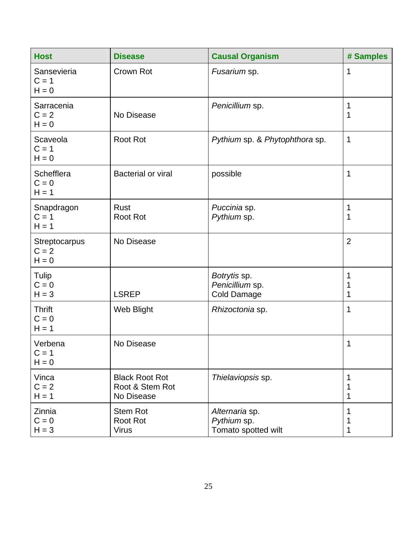| <b>Host</b>                         | <b>Disease</b>                                         | <b>Causal Organism</b>                                | # Samples      |
|-------------------------------------|--------------------------------------------------------|-------------------------------------------------------|----------------|
| Sansevieria<br>$C = 1$<br>$H = 0$   | Crown Rot                                              | Fusarium sp.                                          | 1              |
| Sarracenia<br>$C = 2$<br>$H = 0$    | No Disease                                             | Penicillium sp.                                       | 1<br>1         |
| Scaveola<br>$C = 1$<br>$H = 0$      | <b>Root Rot</b>                                        | Pythium sp. & Phytophthora sp.                        | $\mathbf 1$    |
| Schefflera<br>$C = 0$<br>$H = 1$    | <b>Bacterial or viral</b>                              | possible                                              | 1              |
| Snapdragon<br>$C = 1$<br>$H = 1$    | Rust<br><b>Root Rot</b>                                | Puccinia sp.<br>Pythium sp.                           | 1<br>1         |
| Streptocarpus<br>$C = 2$<br>$H = 0$ | No Disease                                             |                                                       | $\overline{2}$ |
| <b>Tulip</b><br>$C = 0$<br>$H = 3$  | <b>LSREP</b>                                           | Botrytis sp.<br>Penicillium sp.<br><b>Cold Damage</b> | 1<br>1<br>1    |
| <b>Thrift</b><br>$C = 0$<br>$H = 1$ | Web Blight                                             | Rhizoctonia sp.                                       | 1              |
| Verbena<br>$C = 1$<br>$H = 0$       | No Disease                                             |                                                       | 1              |
| Vinca<br>$C = 2$<br>$H = 1$         | <b>Black Root Rot</b><br>Root & Stem Rot<br>No Disease | Thielaviopsis sp.                                     | 1<br>1<br>1    |
| Zinnia<br>$C = 0$<br>$H = 3$        | <b>Stem Rot</b><br><b>Root Rot</b><br><b>Virus</b>     | Alternaria sp.<br>Pythium sp.<br>Tomato spotted wilt  | 1<br>1         |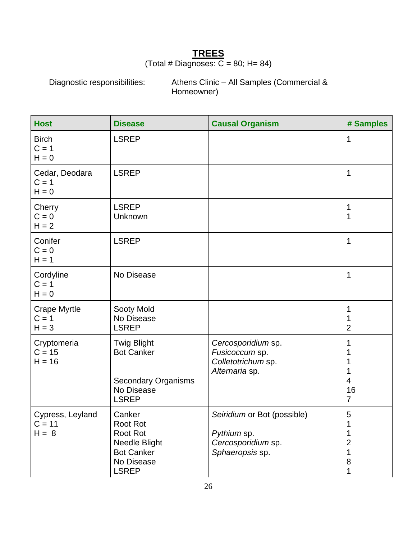#### **TREES** (Total # Diagnoses:  $\overline{C}$  = 80; H= 84)

Diagnostic responsibilities: Athens Clinic – All Samples (Commercial & Homeowner)

| <b>Host</b>                               | <b>Disease</b>                                                                                      | <b>Causal Organism</b>                                                              | # Samples                      |
|-------------------------------------------|-----------------------------------------------------------------------------------------------------|-------------------------------------------------------------------------------------|--------------------------------|
| <b>Birch</b><br>$C = 1$<br>$H = 0$        | <b>LSREP</b>                                                                                        |                                                                                     | 1                              |
| Cedar, Deodara<br>$C = 1$<br>$H = 0$      | <b>LSREP</b>                                                                                        |                                                                                     | 1                              |
| Cherry<br>$C = 0$<br>$H = 2$              | <b>LSREP</b><br>Unknown                                                                             |                                                                                     | 1<br>1                         |
| Conifer<br>$C = 0$<br>$H = 1$             | <b>LSREP</b>                                                                                        |                                                                                     | 1                              |
| Cordyline<br>$C = 1$<br>$H = 0$           | No Disease                                                                                          |                                                                                     | 1                              |
| <b>Crape Myrtle</b><br>$C = 1$<br>$H = 3$ | Sooty Mold<br>No Disease<br><b>LSREP</b>                                                            |                                                                                     | 1<br>1<br>$\overline{2}$       |
| Cryptomeria<br>$C = 15$<br>$H = 16$       | <b>Twig Blight</b><br><b>Bot Canker</b><br><b>Secondary Organisms</b><br>No Disease<br><b>LSREP</b> | Cercosporidium sp.<br>Fusicoccum sp.<br>Colletotrichum sp.<br>Alternaria sp.        | 1<br>4<br>16<br>$\overline{7}$ |
| Cypress, Leyland<br>$C = 11$<br>$H = 8$   | Canker<br>Root Rot<br>Root Rot<br>Needle Blight<br><b>Bot Canker</b><br>No Disease<br><b>LSREP</b>  | Seiridium or Bot (possible)<br>Pythium sp.<br>Cercosporidium sp.<br>Sphaeropsis sp. | 5<br>2<br>1<br>8<br>1          |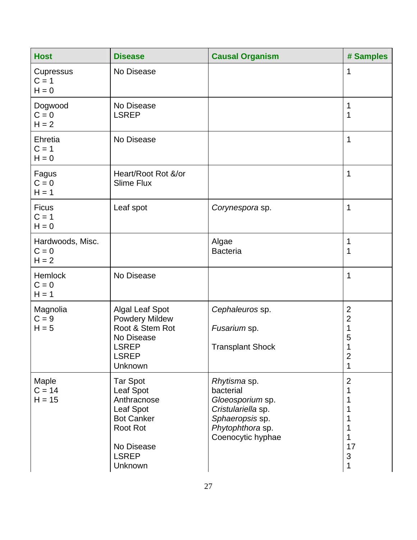| <b>Host</b>                            | <b>Disease</b>                                                                                                                     | <b>Causal Organism</b>                                                                                                          | # Samples                                                                       |
|----------------------------------------|------------------------------------------------------------------------------------------------------------------------------------|---------------------------------------------------------------------------------------------------------------------------------|---------------------------------------------------------------------------------|
| Cupressus<br>$C = 1$<br>$H = 0$        | No Disease                                                                                                                         |                                                                                                                                 | 1                                                                               |
| Dogwood<br>$C = 0$<br>$H = 2$          | No Disease<br><b>LSREP</b>                                                                                                         |                                                                                                                                 | 1<br>1                                                                          |
| Ehretia<br>$C = 1$<br>$H = 0$          | No Disease                                                                                                                         |                                                                                                                                 | 1                                                                               |
| Fagus<br>$C = 0$<br>$H = 1$            | Heart/Root Rot &/or<br><b>Slime Flux</b>                                                                                           |                                                                                                                                 | 1                                                                               |
| <b>Ficus</b><br>$C = 1$<br>$H = 0$     | Leaf spot                                                                                                                          | Corynespora sp.                                                                                                                 | 1                                                                               |
| Hardwoods, Misc.<br>$C = 0$<br>$H = 2$ |                                                                                                                                    | Algae<br><b>Bacteria</b>                                                                                                        | 1<br>1                                                                          |
| Hemlock<br>$C = 0$<br>$H = 1$          | No Disease                                                                                                                         |                                                                                                                                 | 1                                                                               |
| Magnolia<br>$C = 9$<br>$H = 5$         | <b>Algal Leaf Spot</b><br><b>Powdery Mildew</b><br>Root & Stem Rot<br>No Disease<br><b>LSREP</b><br><b>LSREP</b><br><b>Unknown</b> | Cephaleuros sp.<br>Fusarium sp.<br><b>Transplant Shock</b>                                                                      | $\overline{2}$<br>$\mathbf{2}$<br>1<br>5<br>1<br>2<br>1                         |
| Maple<br>$C = 14$<br>$H = 15$          | <b>Tar Spot</b><br>Leaf Spot<br>Anthracnose<br>Leaf Spot<br><b>Bot Canker</b><br>Root Rot<br>No Disease<br><b>LSREP</b><br>Unknown | Rhytisma sp.<br>bacterial<br>Gloeosporium sp.<br>Cristulariella sp.<br>Sphaeropsis sp.<br>Phytophthora sp.<br>Coenocytic hyphae | $\overline{2}$<br>1<br>1<br>1<br>1<br>1<br>17<br>$\ensuremath{\mathsf{3}}$<br>1 |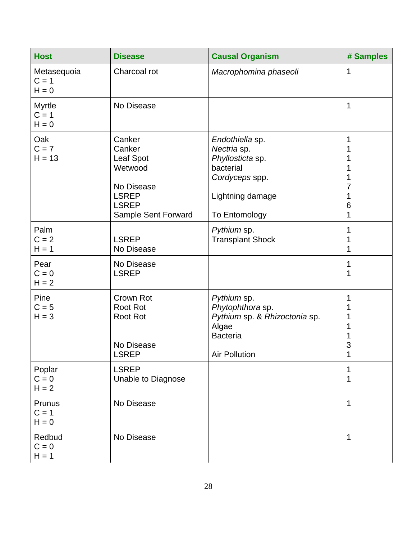| <b>Host</b>                         | <b>Disease</b>                                                                                                       | <b>Causal Organism</b>                                                                                                 | # Samples                  |
|-------------------------------------|----------------------------------------------------------------------------------------------------------------------|------------------------------------------------------------------------------------------------------------------------|----------------------------|
| Metasequoia<br>$C = 1$<br>$H = 0$   | Charcoal rot                                                                                                         | Macrophomina phaseoli                                                                                                  | 1                          |
| <b>Myrtle</b><br>$C = 1$<br>$H = 0$ | No Disease                                                                                                           |                                                                                                                        | 1                          |
| Oak<br>$C = 7$<br>$H = 13$          | Canker<br>Canker<br><b>Leaf Spot</b><br>Wetwood<br>No Disease<br><b>LSREP</b><br><b>LSREP</b><br>Sample Sent Forward | Endothiella sp.<br>Nectria sp.<br>Phyllosticta sp.<br>bacterial<br>Cordyceps spp.<br>Lightning damage<br>To Entomology | 1<br>1<br>7<br>1<br>6<br>1 |
| Palm<br>$C = 2$<br>$H = 1$          | <b>LSREP</b><br>No Disease                                                                                           | Pythium sp.<br><b>Transplant Shock</b>                                                                                 | 1<br>1<br>1                |
| Pear<br>$C = 0$<br>$H = 2$          | No Disease<br><b>LSREP</b>                                                                                           |                                                                                                                        | 1<br>1                     |
| Pine<br>$C = 5$<br>$H = 3$          | Crown Rot<br><b>Root Rot</b><br><b>Root Rot</b><br>No Disease<br><b>LSREP</b>                                        | Pythium sp.<br>Phytophthora sp.<br>Pythium sp. & Rhizoctonia sp.<br>Algae<br><b>Bacteria</b><br><b>Air Pollution</b>   | 1<br>1<br>1<br>3<br>1      |
| Poplar<br>$C = 0$<br>$H = 2$        | <b>LSREP</b><br><b>Unable to Diagnose</b>                                                                            |                                                                                                                        | 1<br>1                     |
| Prunus<br>$C = 1$<br>$H = 0$        | No Disease                                                                                                           |                                                                                                                        | 1                          |
| Redbud<br>$C = 0$<br>$H = 1$        | No Disease                                                                                                           |                                                                                                                        | 1                          |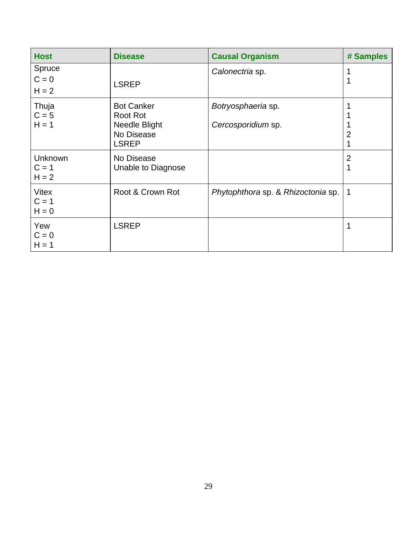| <b>Host</b>                          | <b>Disease</b>                                                               | <b>Causal Organism</b>                   | # Samples           |
|--------------------------------------|------------------------------------------------------------------------------|------------------------------------------|---------------------|
| Spruce<br>$C = 0$<br>$H = 2$         | <b>LSREP</b>                                                                 | Calonectria sp.                          |                     |
| Thuja<br>$C = 5$<br>$H = 1$          | <b>Bot Canker</b><br>Root Rot<br>Needle Blight<br>No Disease<br><b>LSREP</b> | Botryosphaeria sp.<br>Cercosporidium sp. | 2                   |
| <b>Unknown</b><br>$C = 1$<br>$H = 2$ | No Disease<br>Unable to Diagnose                                             |                                          | $\overline{2}$<br>1 |
| <b>Vitex</b><br>$C = 1$<br>$H = 0$   | Root & Crown Rot                                                             | Phytophthora sp. & Rhizoctonia sp.       | -1                  |
| Yew<br>$C = 0$<br>$H = 1$            | <b>LSREP</b>                                                                 |                                          | 1                   |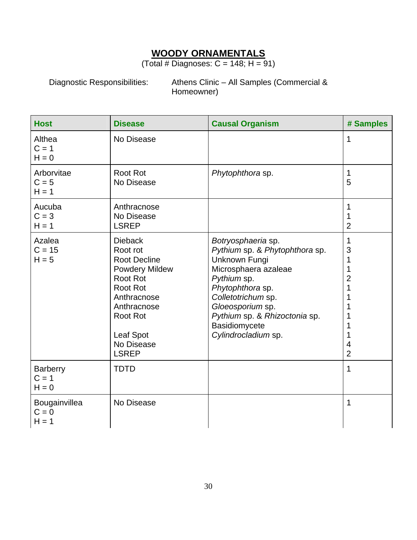#### **WOODY ORNAMENTALS**

(Total # Diagnoses:  $C = 148$ ; H = 91)

Diagnostic Responsibilities: Athens Clinic – All Samples (Commercial & Homeowner)

| <b>Host</b>                           | <b>Disease</b>                                                                                                                                                                                        | <b>Causal Organism</b>                                                                                                                                                                                                                              | # Samples                                         |
|---------------------------------------|-------------------------------------------------------------------------------------------------------------------------------------------------------------------------------------------------------|-----------------------------------------------------------------------------------------------------------------------------------------------------------------------------------------------------------------------------------------------------|---------------------------------------------------|
| Althea<br>$C = 1$<br>$H = 0$          | No Disease                                                                                                                                                                                            |                                                                                                                                                                                                                                                     | 1                                                 |
| Arborvitae<br>$C = 5$<br>$H = 1$      | <b>Root Rot</b><br>No Disease                                                                                                                                                                         | Phytophthora sp.                                                                                                                                                                                                                                    | 1<br>5                                            |
| Aucuba<br>$C = 3$<br>$H = 1$          | Anthracnose<br>No Disease<br><b>LSREP</b>                                                                                                                                                             |                                                                                                                                                                                                                                                     | 1<br>$\overline{2}$                               |
| Azalea<br>$C = 15$<br>$H = 5$         | <b>Dieback</b><br>Root rot<br><b>Root Decline</b><br><b>Powdery Mildew</b><br>Root Rot<br>Root Rot<br>Anthracnose<br>Anthracnose<br><b>Root Rot</b><br><b>Leaf Spot</b><br>No Disease<br><b>LSREP</b> | Botryosphaeria sp.<br>Pythium sp. & Phytophthora sp.<br>Unknown Fungi<br>Microsphaera azaleae<br>Pythium sp.<br>Phytophthora sp.<br>Colletotrichum sp.<br>Gloeosporium sp.<br>Pythium sp. & Rhizoctonia sp.<br>Basidiomycete<br>Cylindrocladium sp. | 1<br>3<br>1<br>1<br>2<br>1<br>4<br>$\overline{2}$ |
| <b>Barberry</b><br>$C = 1$<br>$H = 0$ | <b>TDTD</b>                                                                                                                                                                                           |                                                                                                                                                                                                                                                     | 1                                                 |
| Bougainvillea<br>$C = 0$<br>$H = 1$   | No Disease                                                                                                                                                                                            |                                                                                                                                                                                                                                                     | 1                                                 |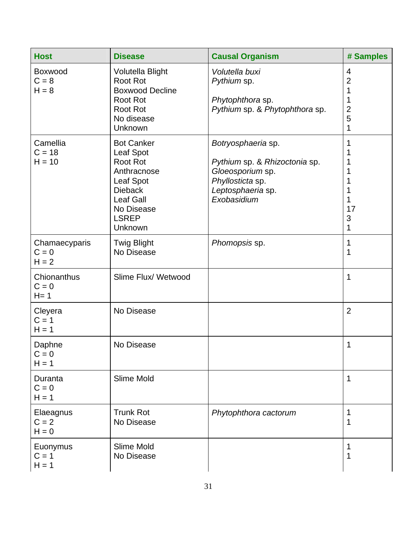| <b>Host</b>                         | <b>Disease</b>                                                                                                                                        | <b>Causal Organism</b>                                                                                                          | # Samples                                                 |
|-------------------------------------|-------------------------------------------------------------------------------------------------------------------------------------------------------|---------------------------------------------------------------------------------------------------------------------------------|-----------------------------------------------------------|
| Boxwood<br>$C = 8$<br>$H = 8$       | Volutella Blight<br><b>Root Rot</b><br><b>Boxwood Decline</b><br><b>Root Rot</b><br><b>Root Rot</b><br>No disease<br>Unknown                          | Volutella buxi<br>Pythium sp.<br>Phytophthora sp.<br>Pythium sp. & Phytophthora sp.                                             | 4<br>$\overline{c}$<br>1<br>1<br>$\overline{c}$<br>5<br>1 |
| Camellia<br>$C = 18$<br>$H = 10$    | <b>Bot Canker</b><br>Leaf Spot<br>Root Rot<br>Anthracnose<br>Leaf Spot<br><b>Dieback</b><br><b>Leaf Gall</b><br>No Disease<br><b>LSREP</b><br>Unknown | Botryosphaeria sp.<br>Pythium sp. & Rhizoctonia sp.<br>Gloeosporium sp.<br>Phyllosticta sp.<br>Leptosphaeria sp.<br>Exobasidium | 1<br>1<br>17<br>3<br>1                                    |
| Chamaecyparis<br>$C = 0$<br>$H = 2$ | <b>Twig Blight</b><br>No Disease                                                                                                                      | Phomopsis sp.                                                                                                                   | 1<br>1                                                    |
| Chionanthus<br>$C = 0$<br>$H = 1$   | Slime Flux/ Wetwood                                                                                                                                   |                                                                                                                                 | 1                                                         |
| Cleyera<br>$C = 1$<br>$H = 1$       | No Disease                                                                                                                                            |                                                                                                                                 | $\overline{2}$                                            |
| Daphne<br>$C = 0$<br>$H = 1$        | No Disease                                                                                                                                            |                                                                                                                                 | 1                                                         |
| Duranta<br>$C = 0$<br>$H = 1$       | Slime Mold                                                                                                                                            |                                                                                                                                 | 1                                                         |
| Elaeagnus<br>$C = 2$<br>$H = 0$     | <b>Trunk Rot</b><br>No Disease                                                                                                                        | Phytophthora cactorum                                                                                                           | 1<br>1                                                    |
| Euonymus<br>$C = 1$<br>$H = 1$      | Slime Mold<br>No Disease                                                                                                                              |                                                                                                                                 | 1<br>1                                                    |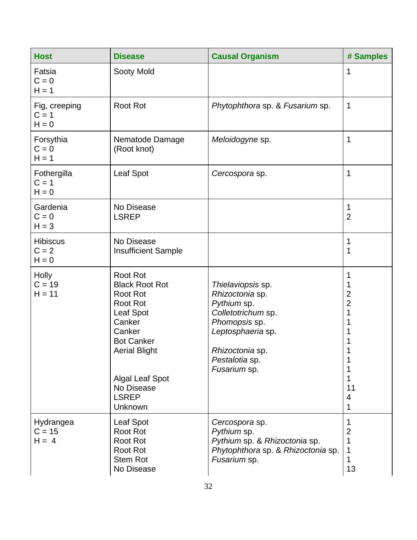| <b>Host</b>                           | <b>Disease</b>                                                                                                                                                                                                                  | <b>Causal Organism</b>                                                                                                                                               | # Samples                                                                 |
|---------------------------------------|---------------------------------------------------------------------------------------------------------------------------------------------------------------------------------------------------------------------------------|----------------------------------------------------------------------------------------------------------------------------------------------------------------------|---------------------------------------------------------------------------|
| Fatsia<br>$C = 0$<br>$H = 1$          | Sooty Mold                                                                                                                                                                                                                      |                                                                                                                                                                      | 1                                                                         |
| Fig, creeping<br>$C = 1$<br>$H = 0$   | <b>Root Rot</b>                                                                                                                                                                                                                 | Phytophthora sp. & Fusarium sp.                                                                                                                                      | $\mathbf 1$                                                               |
| Forsythia<br>$C = 0$<br>$H = 1$       | Nematode Damage<br>(Root knot)                                                                                                                                                                                                  | Meloidogyne sp.                                                                                                                                                      | $\mathbf 1$                                                               |
| Fothergilla<br>$C = 1$<br>$H = 0$     | Leaf Spot                                                                                                                                                                                                                       | Cercospora sp.                                                                                                                                                       | 1                                                                         |
| Gardenia<br>$C = 0$<br>$H = 3$        | No Disease<br><b>LSREP</b>                                                                                                                                                                                                      |                                                                                                                                                                      | 1<br>$\overline{2}$                                                       |
| <b>Hibiscus</b><br>$C = 2$<br>$H = 0$ | No Disease<br><b>Insufficient Sample</b>                                                                                                                                                                                        |                                                                                                                                                                      | 1<br>1                                                                    |
| <b>Holly</b><br>$C = 19$<br>$H = 11$  | <b>Root Rot</b><br><b>Black Root Rot</b><br><b>Root Rot</b><br><b>Root Rot</b><br>Leaf Spot<br>Canker<br>Canker<br><b>Bot Canker</b><br><b>Aerial Blight</b><br><b>Algal Leaf Spot</b><br>No Disease<br><b>LSREP</b><br>Unknown | Thielaviopsis sp.<br>Rhizoctonia sp.<br>Pythium sp.<br>Colletotrichum sp.<br>Phomopsis sp.<br>Leptosphaeria sp.<br>Rhizoctonia sp.<br>Pestalotia sp.<br>Fusarium sp. | 1<br>1<br>$\overline{2}$<br>$\overline{2}$<br>1<br>1<br>1<br>11<br>4<br>1 |
| Hydrangea<br>$C = 15$<br>$H = 4$      | Leaf Spot<br>Root Rot<br><b>Root Rot</b><br><b>Root Rot</b><br><b>Stem Rot</b><br>No Disease                                                                                                                                    | Cercospora sp.<br>Pythium sp.<br>Pythium sp. & Rhizoctonia sp.<br>Phytophthora sp. & Rhizoctonia sp.<br>Fusarium sp.                                                 | 1<br>$\overline{2}$<br>1<br>1<br>13                                       |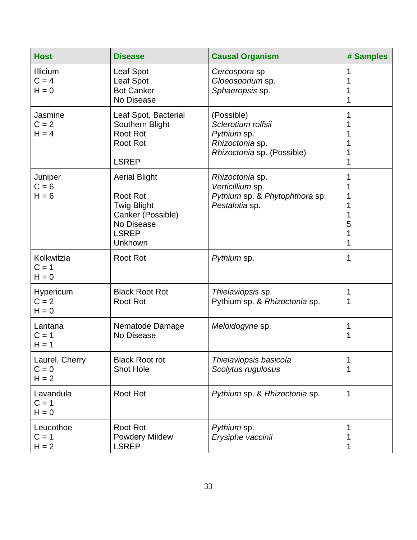| <b>Host</b>                          | <b>Disease</b>                                                                                                       | <b>Causal Organism</b>                                                                           | # Samples                  |
|--------------------------------------|----------------------------------------------------------------------------------------------------------------------|--------------------------------------------------------------------------------------------------|----------------------------|
| Illicium<br>$C = 4$<br>$H = 0$       | Leaf Spot<br><b>Leaf Spot</b><br><b>Bot Canker</b><br>No Disease                                                     | Cercospora sp.<br>Gloeosporium sp.<br>Sphaeropsis sp.                                            | 1<br>1<br>1                |
| Jasmine<br>$C = 2$<br>$H = 4$        | Leaf Spot, Bacterial<br>Southern Blight<br><b>Root Rot</b><br><b>Root Rot</b><br><b>LSREP</b>                        | (Possible)<br>Sclerotium rolfsii<br>Pythium sp.<br>Rhizoctonia sp.<br>Rhizoctonia sp. (Possible) | 1<br>1<br>1                |
| Juniper<br>$C = 6$<br>$H = 6$        | <b>Aerial Blight</b><br><b>Root Rot</b><br>Twig Blight<br>Canker (Possible)<br>No Disease<br><b>LSREP</b><br>Unknown | Rhizoctonia sp.<br>Verticillium sp.<br>Pythium sp. & Phytophthora sp.<br>Pestalotia sp.          | 1<br>1<br>1<br>5<br>1<br>1 |
| Kolkwitzia<br>$C = 1$<br>$H = 0$     | <b>Root Rot</b>                                                                                                      | Pythium sp.                                                                                      | 1                          |
| Hypericum<br>$C = 2$<br>$H = 0$      | <b>Black Root Rot</b><br><b>Root Rot</b>                                                                             | Thielaviopsis sp.<br>Pythium sp. & Rhizoctonia sp.                                               | 1<br>1                     |
| Lantana<br>$C = 1$<br>$H = 1$        | Nematode Damage<br>No Disease                                                                                        | Meloidogyne sp.                                                                                  | 1<br>1                     |
| Laurel, Cherry<br>$C = 0$<br>$H = 2$ | <b>Black Root rot</b><br><b>Shot Hole</b>                                                                            | Thielaviopsis basicola<br>Scolytus rugulosus                                                     | 1<br>1                     |
| Lavandula<br>$C = 1$<br>$H = 0$      | <b>Root Rot</b>                                                                                                      | Pythium sp. & Rhizoctonia sp.                                                                    | 1                          |
| Leucothoe<br>$C = 1$<br>$H = 2$      | <b>Root Rot</b><br><b>Powdery Mildew</b><br><b>LSREP</b>                                                             | Pythium sp.<br>Erysiphe vaccinii                                                                 | 1<br>1<br>1                |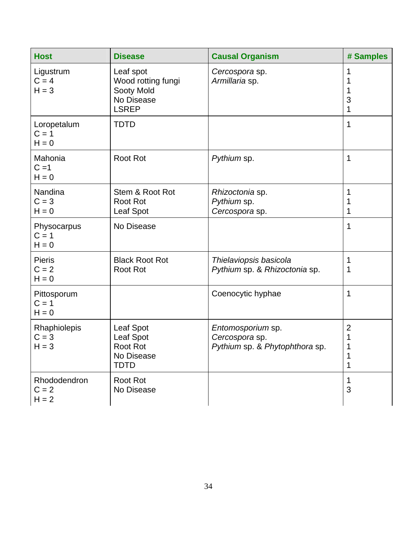| <b>Host</b>                         | <b>Disease</b>                                                              | <b>Causal Organism</b>                                                | # Samples                     |
|-------------------------------------|-----------------------------------------------------------------------------|-----------------------------------------------------------------------|-------------------------------|
| Ligustrum<br>$C = 4$<br>$H = 3$     | Leaf spot<br>Wood rotting fungi<br>Sooty Mold<br>No Disease<br><b>LSREP</b> | Cercospora sp.<br>Armillaria sp.                                      | 1<br>1<br>3<br>1              |
| Loropetalum<br>$C = 1$<br>$H = 0$   | <b>TDTD</b>                                                                 |                                                                       | 1                             |
| Mahonia<br>$C = 1$<br>$H = 0$       | <b>Root Rot</b>                                                             | Pythium sp.                                                           | 1                             |
| Nandina<br>$C = 3$<br>$H = 0$       | Stem & Root Rot<br>Root Rot<br>Leaf Spot                                    | Rhizoctonia sp.<br>Pythium sp.<br>Cercospora sp.                      | 1<br>1<br>1                   |
| Physocarpus<br>$C = 1$<br>$H = 0$   | No Disease                                                                  |                                                                       | 1                             |
| <b>Pieris</b><br>$C = 2$<br>$H = 0$ | <b>Black Root Rot</b><br><b>Root Rot</b>                                    | Thielaviopsis basicola<br>Pythium sp. & Rhizoctonia sp.               | 1<br>1                        |
| Pittosporum<br>$C = 1$<br>$H = 0$   |                                                                             | Coenocytic hyphae                                                     | 1                             |
| Rhaphiolepis<br>$C = 3$<br>$H = 3$  | Leaf Spot<br>Leaf Spot<br><b>Root Rot</b><br>No Disease<br><b>TDTD</b>      | Entomosporium sp.<br>Cercospora sp.<br>Pythium sp. & Phytophthora sp. | $\overline{2}$<br>1<br>1<br>1 |
| Rhododendron<br>$C = 2$<br>$H = 2$  | <b>Root Rot</b><br>No Disease                                               |                                                                       | 1<br>3                        |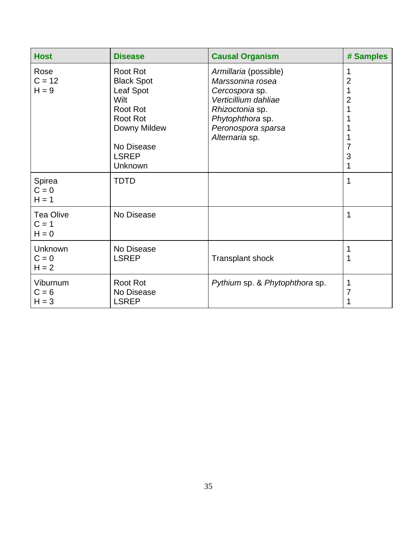| <b>Host</b>                            | <b>Disease</b>                                                                                                                                    | <b>Causal Organism</b>                                                                                                                                             | # Samples                          |
|----------------------------------------|---------------------------------------------------------------------------------------------------------------------------------------------------|--------------------------------------------------------------------------------------------------------------------------------------------------------------------|------------------------------------|
| Rose<br>$C = 12$<br>$H = 9$            | <b>Root Rot</b><br><b>Black Spot</b><br>Leaf Spot<br>Wilt<br>Root Rot<br><b>Root Rot</b><br>Downy Mildew<br>No Disease<br><b>LSREP</b><br>Unknown | Armillaria (possible)<br>Marssonina rosea<br>Cercospora sp.<br>Verticillium dahliae<br>Rhizoctonia sp.<br>Phytophthora sp.<br>Peronospora sparsa<br>Alternaria sp. | 1<br>$\overline{2}$<br>2<br>3<br>1 |
| Spirea<br>$C = 0$<br>$H = 1$           | <b>TDTD</b>                                                                                                                                       |                                                                                                                                                                    | 1                                  |
| <b>Tea Olive</b><br>$C = 1$<br>$H = 0$ | No Disease                                                                                                                                        |                                                                                                                                                                    | 1                                  |
| Unknown<br>$C = 0$<br>$H = 2$          | No Disease<br><b>LSREP</b>                                                                                                                        | <b>Transplant shock</b>                                                                                                                                            | 1<br>1                             |
| Viburnum<br>$C = 6$<br>$H = 3$         | <b>Root Rot</b><br>No Disease<br><b>LSREP</b>                                                                                                     | Pythium sp. & Phytophthora sp.                                                                                                                                     | 1<br>7                             |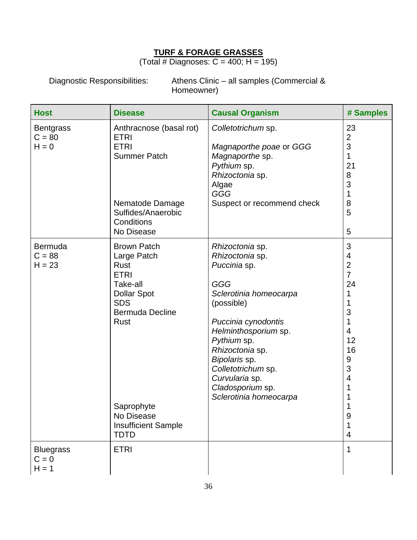#### **TURF & FORAGE GRASSES**

(Total # Diagnoses:  $C = 400$ ; H = 195)

Diagnostic Responsibilities: Athens Clinic – all samples (Commercial & Homeowner)

| <b>Host</b>                             | <b>Disease</b>                                                                                                                                                                                                      | <b>Causal Organism</b>                                                                                                                                                                                                                                                                    | # Samples                                                                                                                                                                 |
|-----------------------------------------|---------------------------------------------------------------------------------------------------------------------------------------------------------------------------------------------------------------------|-------------------------------------------------------------------------------------------------------------------------------------------------------------------------------------------------------------------------------------------------------------------------------------------|---------------------------------------------------------------------------------------------------------------------------------------------------------------------------|
| <b>Bentgrass</b><br>$C = 80$<br>$H = 0$ | Anthracnose (basal rot)<br><b>ETRI</b><br><b>ETRI</b><br><b>Summer Patch</b><br>Nematode Damage<br>Sulfides/Anaerobic<br>Conditions<br>No Disease                                                                   | Colletotrichum sp.<br>Magnaporthe poae or GGG<br>Magnaporthe sp.<br>Pythium sp.<br>Rhizoctonia sp.<br>Algae<br>GGG<br>Suspect or recommend check                                                                                                                                          | 23<br>$\mathbf{2}$<br>3<br>$\mathbf{1}$<br>21<br>8<br>3<br>1<br>8<br>5<br>5                                                                                               |
| Bermuda<br>$C = 88$<br>$H = 23$         | <b>Brown Patch</b><br>Large Patch<br>Rust<br><b>ETRI</b><br>Take-all<br><b>Dollar Spot</b><br><b>SDS</b><br><b>Bermuda Decline</b><br>Rust<br>Saprophyte<br>No Disease<br><b>Insufficient Sample</b><br><b>TDTD</b> | Rhizoctonia sp.<br>Rhizoctonia sp.<br>Puccinia sp.<br>GGG<br>Sclerotinia homeocarpa<br>(possible)<br>Puccinia cynodontis<br>Helminthosporium sp.<br>Pythium sp.<br>Rhizoctonia sp.<br>Bipolaris sp.<br>Colletotrichum sp.<br>Curvularia sp.<br>Cladosporium sp.<br>Sclerotinia homeocarpa | 3<br>$\overline{4}$<br>$\overline{2}$<br>$\overline{7}$<br>24<br>1<br>1<br>3<br>1<br>$\overline{4}$<br>12<br>16<br>$\boldsymbol{9}$<br>3<br>$\overline{4}$<br>1<br>9<br>4 |
| <b>Bluegrass</b><br>$C = 0$<br>$H = 1$  | <b>ETRI</b>                                                                                                                                                                                                         |                                                                                                                                                                                                                                                                                           | $\mathbf{1}$                                                                                                                                                              |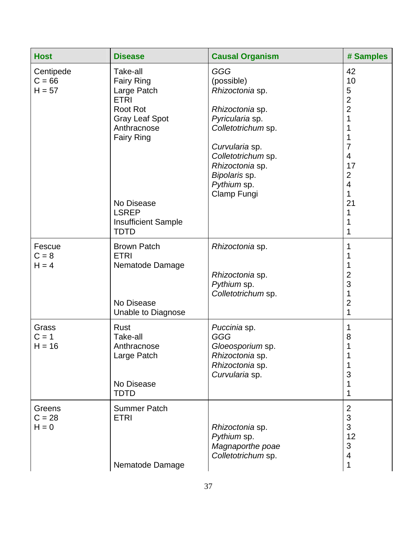| <b>Host</b>                       | <b>Disease</b>                                                                                                                                                                                                  | <b>Causal Organism</b>                                                                                                                                                                                            | # Samples                                                                                                                                                                                           |
|-----------------------------------|-----------------------------------------------------------------------------------------------------------------------------------------------------------------------------------------------------------------|-------------------------------------------------------------------------------------------------------------------------------------------------------------------------------------------------------------------|-----------------------------------------------------------------------------------------------------------------------------------------------------------------------------------------------------|
| Centipede<br>$C = 66$<br>$H = 57$ | Take-all<br><b>Fairy Ring</b><br>Large Patch<br><b>ETRI</b><br>Root Rot<br><b>Gray Leaf Spot</b><br>Anthracnose<br><b>Fairy Ring</b><br>No Disease<br><b>LSREP</b><br><b>Insufficient Sample</b><br><b>TDTD</b> | <b>GGG</b><br>(possible)<br>Rhizoctonia sp.<br>Rhizoctonia sp.<br>Pyricularia sp.<br>Colletotrichum sp.<br>Curvularia sp.<br>Colletotrichum sp.<br>Rhizoctonia sp.<br>Bipolaris sp.<br>Pythium sp.<br>Clamp Fungi | 42<br>10<br>$\sqrt{5}$<br>$\overline{c}$<br>$\overline{2}$<br>1<br>$\mathbf 1$<br>1<br>$\overline{7}$<br>$\overline{4}$<br>17<br>$\mathbf 2$<br>$\overline{4}$<br>$\mathbf{1}$<br>21<br>1<br>1<br>1 |
| Fescue<br>$C = 8$<br>$H = 4$      | <b>Brown Patch</b><br><b>ETRI</b><br>Nematode Damage<br>No Disease<br>Unable to Diagnose                                                                                                                        | Rhizoctonia sp.<br>Rhizoctonia sp.<br>Pythium sp.<br>Colletotrichum sp.                                                                                                                                           | 1<br>1<br>1<br>$\overline{2}$<br>3<br>$\mathbf 1$<br>$\overline{2}$<br>1                                                                                                                            |
| Grass<br>$C = 1$<br>$H = 16$      | Rust<br>Take-all<br>Anthracnose<br>Large Patch<br>No Disease<br><b>TDTD</b>                                                                                                                                     | Puccinia sp.<br><b>GGG</b><br>Gloeosporium sp.<br>Rhizoctonia sp.<br>Rhizoctonia sp.<br>Curvularia sp.                                                                                                            | 1<br>8<br>1<br>3<br>1<br>1                                                                                                                                                                          |
| Greens<br>$C = 28$<br>$H = 0$     | <b>Summer Patch</b><br><b>ETRI</b><br>Nematode Damage                                                                                                                                                           | Rhizoctonia sp.<br>Pythium sp.<br>Magnaporthe poae<br>Colletotrichum sp.                                                                                                                                          | $\overline{2}$<br>3<br>3<br>12<br>$\mathfrak{B}$<br>$\overline{4}$<br>1                                                                                                                             |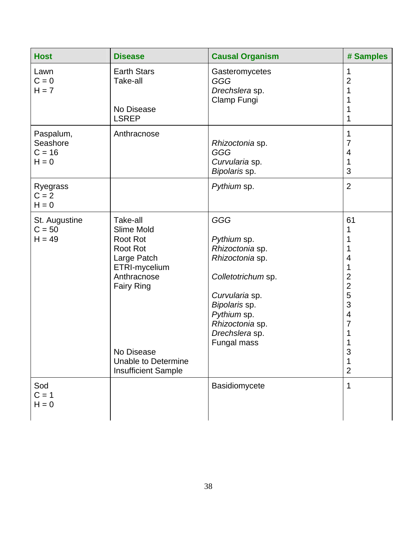| <b>Host</b>                                  | <b>Disease</b>                                                                                                                                                                                             | <b>Causal Organism</b>                                                                                                                                                               | # Samples                                                                                                                       |
|----------------------------------------------|------------------------------------------------------------------------------------------------------------------------------------------------------------------------------------------------------------|--------------------------------------------------------------------------------------------------------------------------------------------------------------------------------------|---------------------------------------------------------------------------------------------------------------------------------|
| Lawn<br>$C = 0$<br>$H = 7$                   | <b>Earth Stars</b><br>Take-all<br>No Disease                                                                                                                                                               | Gasteromycetes<br>GGG<br>Drechslera sp.<br>Clamp Fungi                                                                                                                               | 1<br>$\overline{2}$<br>1                                                                                                        |
| Paspalum,<br>Seashore<br>$C = 16$<br>$H = 0$ | <b>LSREP</b><br>Anthracnose                                                                                                                                                                                | Rhizoctonia sp.<br>GGG<br>Curvularia sp.<br>Bipolaris sp.                                                                                                                            | 1<br>1<br>7<br>$\overline{4}$<br>1<br>3                                                                                         |
| Ryegrass<br>$C = 2$<br>$H = 0$               |                                                                                                                                                                                                            | Pythium sp.                                                                                                                                                                          | $\overline{2}$                                                                                                                  |
| St. Augustine<br>$C = 50$<br>$H = 49$        | Take-all<br>Slime Mold<br><b>Root Rot</b><br><b>Root Rot</b><br>Large Patch<br>ETRI-mycelium<br>Anthracnose<br><b>Fairy Ring</b><br>No Disease<br><b>Unable to Determine</b><br><b>Insufficient Sample</b> | GGG<br>Pythium sp.<br>Rhizoctonia sp.<br>Rhizoctonia sp.<br>Colletotrichum sp.<br>Curvularia sp.<br>Bipolaris sp.<br>Pythium sp.<br>Rhizoctonia sp.<br>Drechslera sp.<br>Fungal mass | 61<br>4<br>1<br>$\overline{2}$<br>$\overline{2}$<br>5<br>3<br>$\overline{4}$<br>$\overline{7}$<br>1<br>ว<br>1<br>$\overline{2}$ |
| Sod<br>$C = 1$<br>$H = 0$                    |                                                                                                                                                                                                            | Basidiomycete                                                                                                                                                                        | 1                                                                                                                               |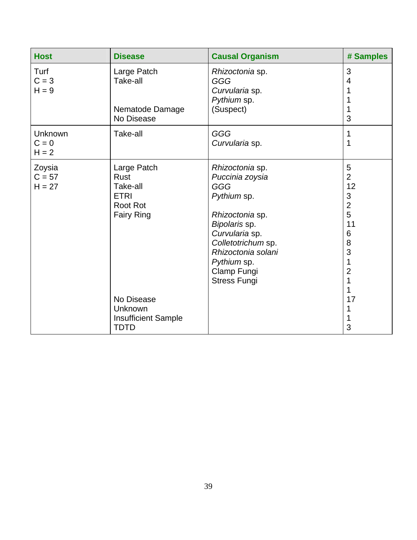| <b>Host</b>                    | <b>Disease</b>                                                                                | <b>Causal Organism</b>                                                                                                                                                                                          | # Samples                                                                                              |
|--------------------------------|-----------------------------------------------------------------------------------------------|-----------------------------------------------------------------------------------------------------------------------------------------------------------------------------------------------------------------|--------------------------------------------------------------------------------------------------------|
| Turf<br>$C = 3$<br>$H = 9$     | Large Patch<br>Take-all<br>Nematode Damage<br>No Disease                                      | Rhizoctonia sp.<br>GGG<br>Curvularia sp.<br>Pythium sp.<br>(Suspect)                                                                                                                                            | 3<br>4<br>3                                                                                            |
| Unknown<br>$C = 0$<br>$H = 2$  | Take-all                                                                                      | GGG<br>Curvularia sp.                                                                                                                                                                                           | 1<br>1                                                                                                 |
| Zoysia<br>$C = 57$<br>$H = 27$ | Large Patch<br><b>Rust</b><br>Take-all<br><b>ETRI</b><br><b>Root Rot</b><br><b>Fairy Ring</b> | Rhizoctonia sp.<br>Puccinia zoysia<br>GGG<br>Pythium sp.<br>Rhizoctonia sp.<br>Bipolaris sp.<br>Curvularia sp.<br>Colletotrichum sp.<br>Rhizoctonia solani<br>Pythium sp.<br>Clamp Fungi<br><b>Stress Fungi</b> | 5<br>$\overline{2}$<br>12<br>3<br>$\overline{2}$<br>5<br>11<br>6<br>8<br>3<br>$\overline{2}$<br>1<br>1 |
|                                | No Disease<br>Unknown<br><b>Insufficient Sample</b><br><b>TDTD</b>                            |                                                                                                                                                                                                                 | 17<br>3                                                                                                |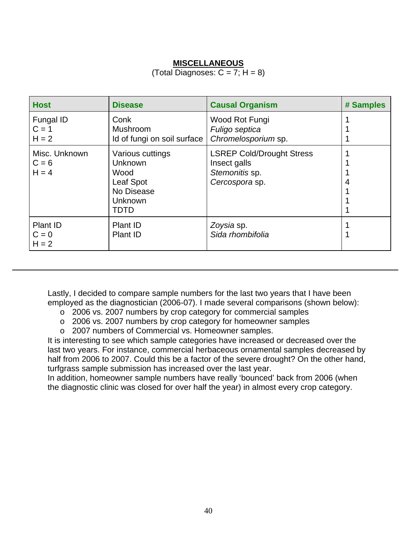#### **MISCELLANEOUS**

#### (Total Diagnoses:  $C = 7$ ;  $H = 8$ )

| <b>Host</b>                         | <b>Disease</b>                                                                           | <b>Causal Organism</b>                                                               | # Samples |
|-------------------------------------|------------------------------------------------------------------------------------------|--------------------------------------------------------------------------------------|-----------|
| Fungal ID<br>$C = 1$<br>$H = 2$     | Conk<br><b>Mushroom</b><br>Id of fungi on soil surface                                   | Wood Rot Fungi<br>Fuligo septica<br>Chromelosporium sp.                              |           |
| Misc. Unknown<br>$C = 6$<br>$H = 4$ | Various cuttings<br>Unknown<br>Wood<br>Leaf Spot<br>No Disease<br>Unknown<br><b>TDTD</b> | <b>LSREP Cold/Drought Stress</b><br>Insect galls<br>Stemonitis sp.<br>Cercospora sp. | 4         |
| Plant ID<br>$C = 0$<br>$H = 2$      | Plant ID<br>Plant ID                                                                     | Zoysia sp.<br>Sida rhombifolia                                                       |           |

Lastly, I decided to compare sample numbers for the last two years that I have been employed as the diagnostician (2006-07). I made several comparisons (shown below):

- o 2006 vs. 2007 numbers by crop category for commercial samples
- o 2006 vs. 2007 numbers by crop category for homeowner samples
- o 2007 numbers of Commercial vs. Homeowner samples.

It is interesting to see which sample categories have increased or decreased over the last two years. For instance, commercial herbaceous ornamental samples decreased by half from 2006 to 2007. Could this be a factor of the severe drought? On the other hand, turfgrass sample submission has increased over the last year.

In addition, homeowner sample numbers have really 'bounced' back from 2006 (when the diagnostic clinic was closed for over half the year) in almost every crop category.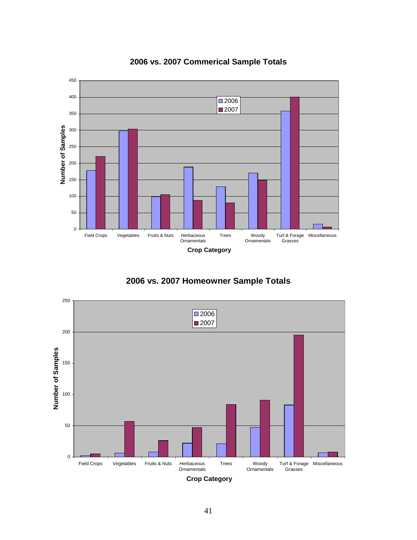

**2006 vs. 2007 Commerical Sample Totals**